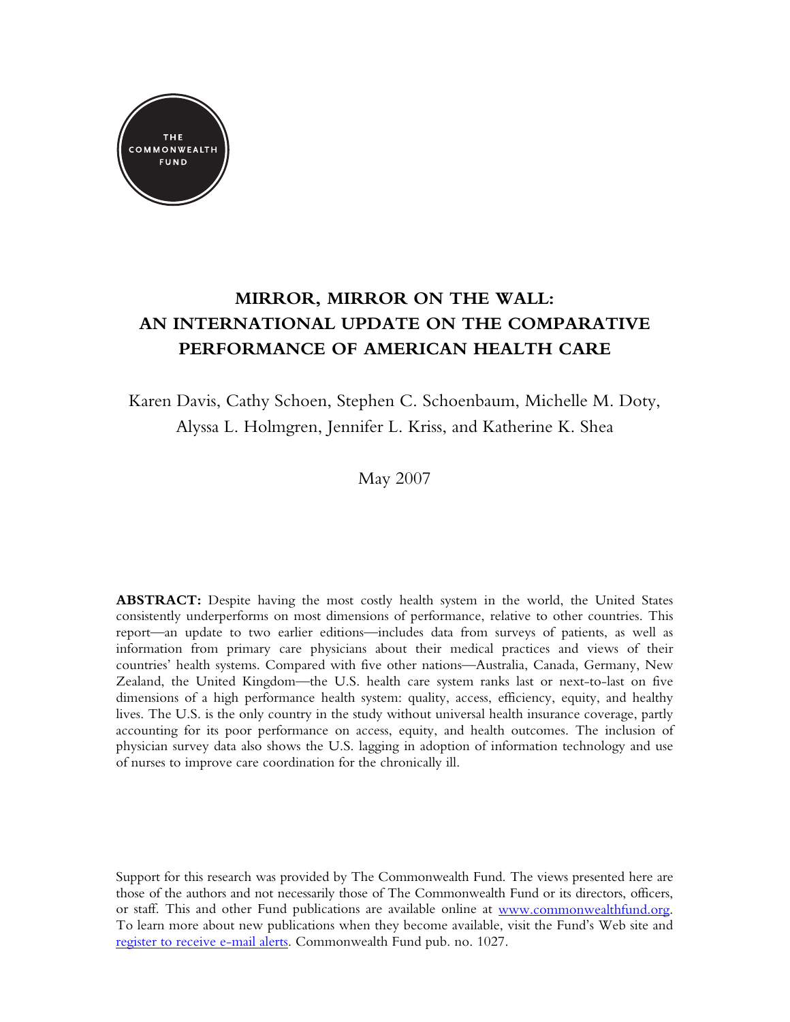

# **MIRROR, MIRROR ON THE WALL: AN INTERNATIONAL UPDATE ON THE COMPARATIVE PERFORMANCE OF AMERICAN HEALTH CARE**

Karen Davis, Cathy Schoen, Stephen C. Schoenbaum, Michelle M. Doty, Alyssa L. Holmgren, Jennifer L. Kriss, and Katherine K. Shea

May 2007

**ABSTRACT:** Despite having the most costly health system in the world, the United States consistently underperforms on most dimensions of performance, relative to other countries. This report—an update to two earlier editions—includes data from surveys of patients, as well as information from primary care physicians about their medical practices and views of their countries' health systems. Compared with five other nations—Australia, Canada, Germany, New Zealand, the United Kingdom—the U.S. health care system ranks last or next-to-last on five dimensions of a high performance health system: quality, access, efficiency, equity, and healthy lives. The U.S. is the only country in the study without universal health insurance coverage, partly accounting for its poor performance on access, equity, and health outcomes. The inclusion of physician survey data also shows the U.S. lagging in adoption of information technology and use of nurses to improve care coordination for the chronically ill.

Support for this research was provided by The Commonwealth Fund. The views presented here are those of the authors and not necessarily those of The Commonwealth Fund or its directors, officers, or staff. This and other Fund publications are available online at [www.commonwealthfund.org](http://www.commonwealthfund.org/). To learn more about new publications when they become available, visit the Fund's Web site and [register to receive e-mail alerts](http://www.commonwealthfund.org/emailalert/emailalert.htm). Commonwealth Fund pub. no. 1027.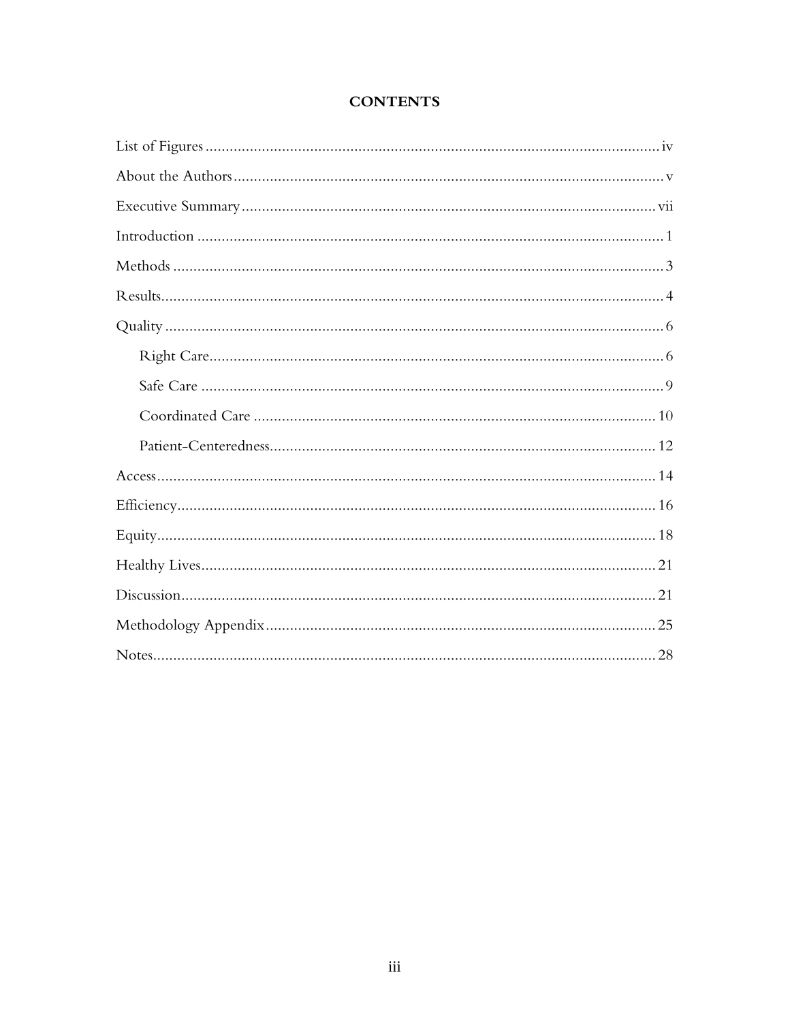## **CONTENTS**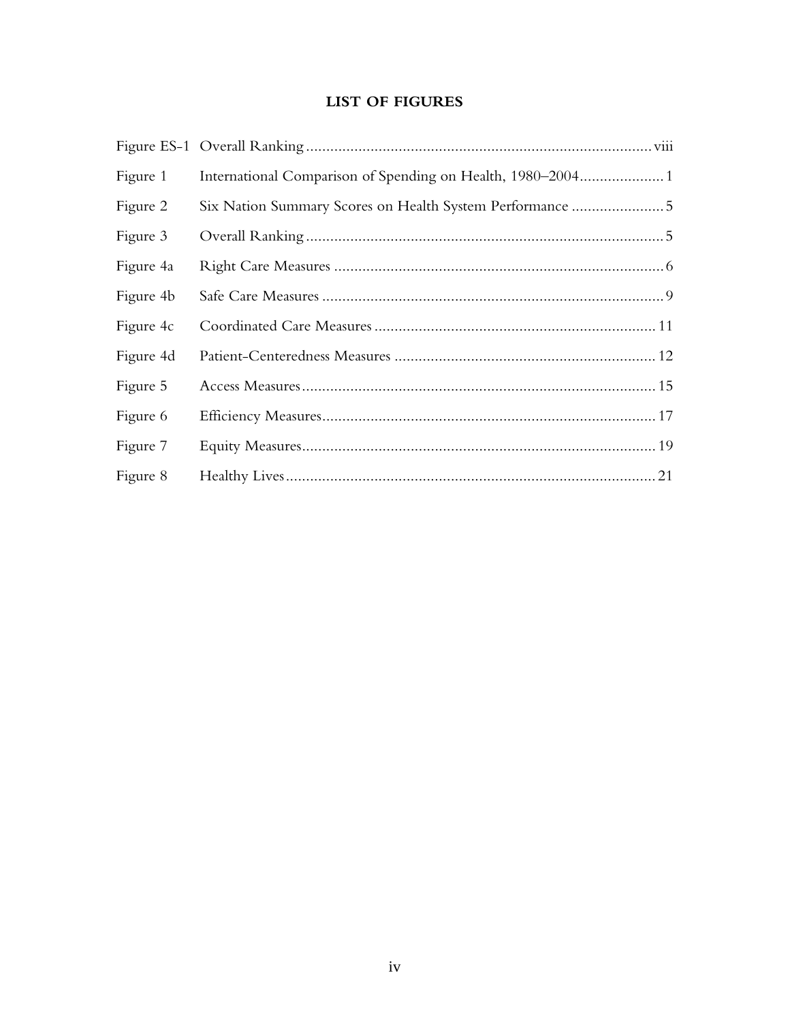## **LIST OF FIGURES**

| Figure 1  |                                                          |
|-----------|----------------------------------------------------------|
| Figure 2  | Six Nation Summary Scores on Health System Performance 5 |
| Figure 3  |                                                          |
| Figure 4a |                                                          |
| Figure 4b |                                                          |
| Figure 4c |                                                          |
| Figure 4d |                                                          |
| Figure 5  |                                                          |
| Figure 6  |                                                          |
| Figure 7  |                                                          |
| Figure 8  |                                                          |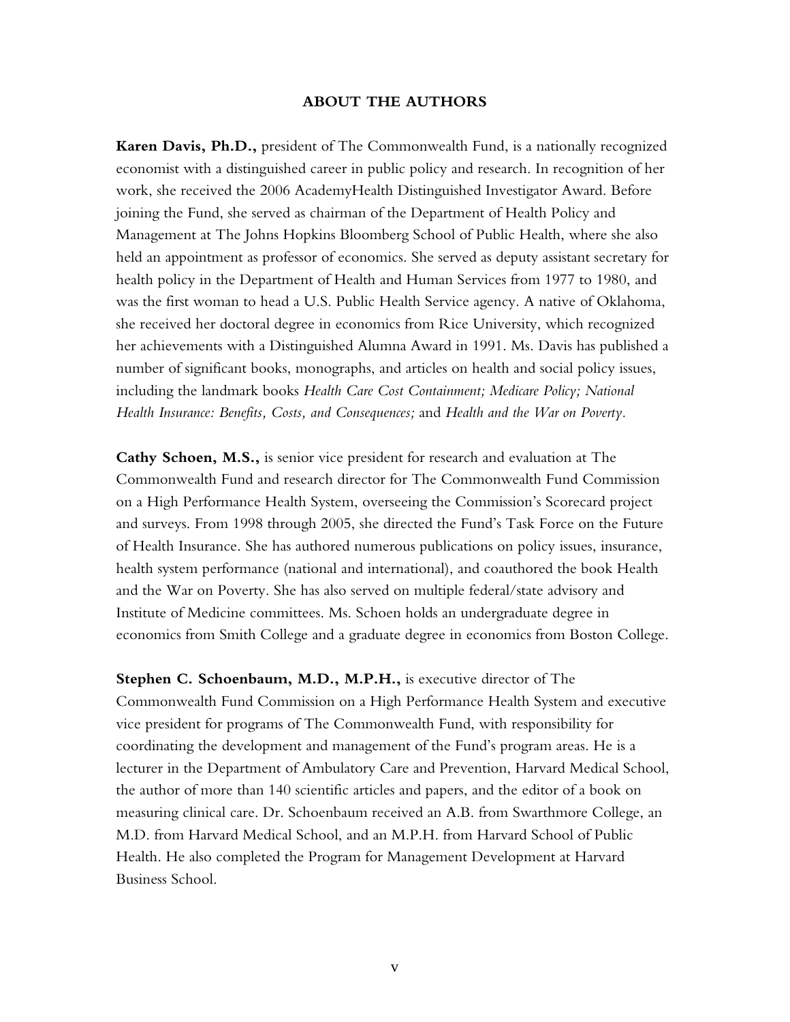#### **ABOUT THE AUTHORS**

**Karen Davis, Ph.D.,** president of The Commonwealth Fund, is a nationally recognized economist with a distinguished career in public policy and research. In recognition of her work, she received the 2006 AcademyHealth Distinguished Investigator Award. Before joining the Fund, she served as chairman of the Department of Health Policy and Management at The Johns Hopkins Bloomberg School of Public Health, where she also held an appointment as professor of economics. She served as deputy assistant secretary for health policy in the Department of Health and Human Services from 1977 to 1980, and was the first woman to head a U.S. Public Health Service agency. A native of Oklahoma, she received her doctoral degree in economics from Rice University, which recognized her achievements with a Distinguished Alumna Award in 1991. Ms. Davis has published a number of significant books, monographs, and articles on health and social policy issues, including the landmark books *Health Care Cost Containment; Medicare Policy; National Health Insurance: Benefits, Costs, and Consequences;* and *Health and the War on Poverty.*

**Cathy Schoen, M.S.,** is senior vice president for research and evaluation at The Commonwealth Fund and research director for The Commonwealth Fund Commission on a High Performance Health System, overseeing the Commission's Scorecard project and surveys. From 1998 through 2005, she directed the Fund's Task Force on the Future of Health Insurance. She has authored numerous publications on policy issues, insurance, health system performance (national and international), and coauthored the book Health and the War on Poverty. She has also served on multiple federal/state advisory and Institute of Medicine committees. Ms. Schoen holds an undergraduate degree in economics from Smith College and a graduate degree in economics from Boston College.

**Stephen C. Schoenbaum, M.D., M.P.H.,** is executive director of The Commonwealth Fund Commission on a High Performance Health System and executive vice president for programs of The Commonwealth Fund, with responsibility for coordinating the development and management of the Fund's program areas. He is a lecturer in the Department of Ambulatory Care and Prevention, Harvard Medical School, the author of more than 140 scientific articles and papers, and the editor of a book on measuring clinical care. Dr. Schoenbaum received an A.B. from Swarthmore College, an M.D. from Harvard Medical School, and an M.P.H. from Harvard School of Public Health. He also completed the Program for Management Development at Harvard Business School.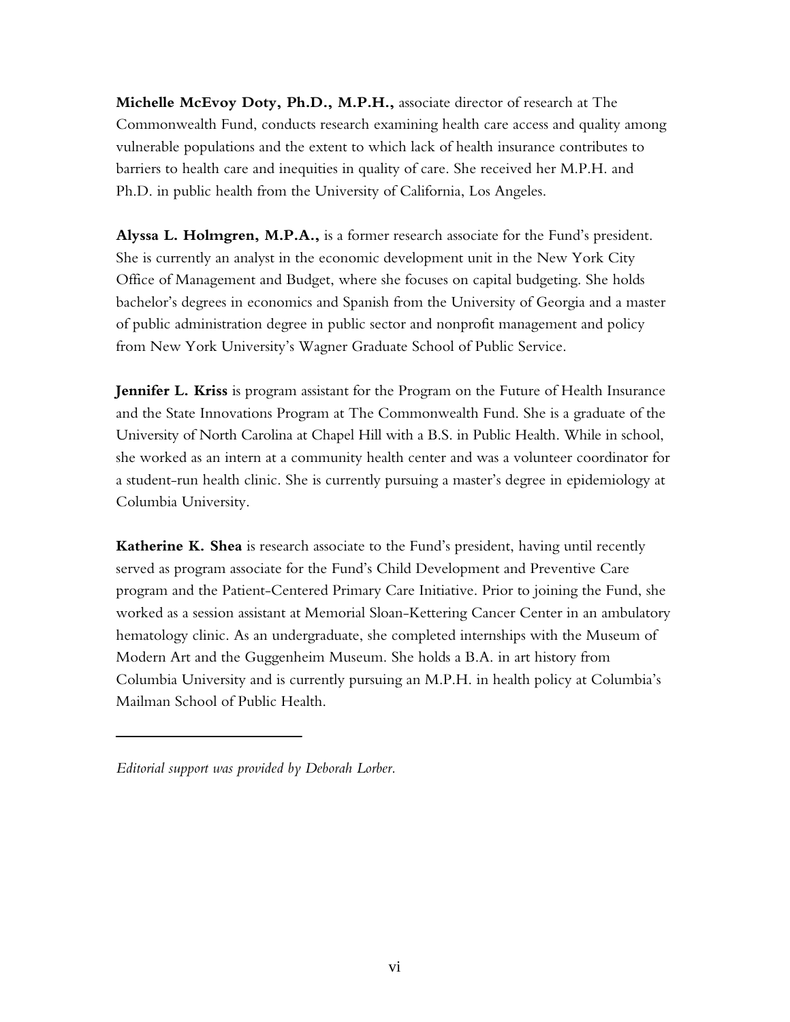**Michelle McEvoy Doty, Ph.D., M.P.H.,** associate director of research at The Commonwealth Fund, conducts research examining health care access and quality among vulnerable populations and the extent to which lack of health insurance contributes to barriers to health care and inequities in quality of care. She received her M.P.H. and Ph.D. in public health from the University of California, Los Angeles.

**Alyssa L. Holmgren, M.P.A.,** is a former research associate for the Fund's president. She is currently an analyst in the economic development unit in the New York City Office of Management and Budget, where she focuses on capital budgeting. She holds bachelor's degrees in economics and Spanish from the University of Georgia and a master of public administration degree in public sector and nonprofit management and policy from New York University's Wagner Graduate School of Public Service.

**Jennifer L. Kriss** is program assistant for the Program on the Future of Health Insurance and the State Innovations Program at The Commonwealth Fund. She is a graduate of the University of North Carolina at Chapel Hill with a B.S. in Public Health. While in school, she worked as an intern at a community health center and was a volunteer coordinator for a student-run health clinic. She is currently pursuing a master's degree in epidemiology at Columbia University.

**Katherine K. Shea** is research associate to the Fund's president, having until recently served as program associate for the Fund's Child Development and Preventive Care program and the Patient-Centered Primary Care Initiative. Prior to joining the Fund, she worked as a session assistant at Memorial Sloan-Kettering Cancer Center in an ambulatory hematology clinic. As an undergraduate, she completed internships with the Museum of Modern Art and the Guggenheim Museum. She holds a B.A. in art history from Columbia University and is currently pursuing an M.P.H. in health policy at Columbia's Mailman School of Public Health.

*Editorial support was provided by Deborah Lorber.*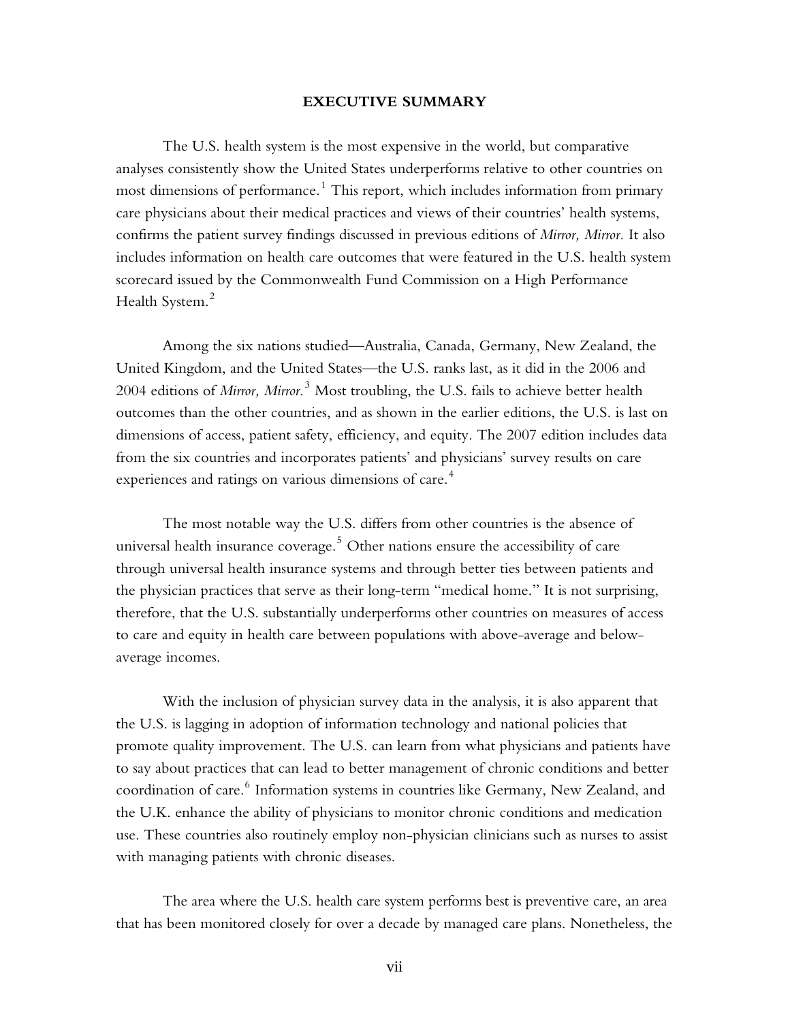#### **EXECUTIVE SUMMARY**

The U.S. health system is the most expensive in the world, but comparative analyses consistently show the United States underperforms relative to other countries on most dimensions of performance. $^1$  This report, which includes information from primary care physicians about their medical practices and views of their countries' health systems, confirms the patient survey findings discussed in previous editions of *Mirror, Mirror.* It also includes information on health care outcomes that were featured in the U.S. health system scorecard issued by the Commonwealth Fund Commission on a High Performance Health System.<sup>2</sup>

Among the six nations studied—Australia, Canada, Germany, New Zealand, the United Kingdom, and the United States—the U.S. ranks last, as it did in the 2006 and 2004 editions of *Mirror, Mirror.*<sup>3</sup> Most troubling, the U.S. fails to achieve better health outcomes than the other countries, and as shown in the earlier editions, the U.S. is last on dimensions of access, patient safety, efficiency, and equity. The 2007 edition includes data from the six countries and incorporates patients' and physicians' survey results on care experiences and ratings on various dimensions of care.<sup>4</sup>

The most notable way the U.S. differs from other countries is the absence of universal health insurance coverage. $^5$  Other nations ensure the accessibility of care through universal health insurance systems and through better ties between patients and the physician practices that serve as their long-term "medical home." It is not surprising, therefore, that the U.S. substantially underperforms other countries on measures of access to care and equity in health care between populations with above-average and belowaverage incomes.

With the inclusion of physician survey data in the analysis, it is also apparent that the U.S. is lagging in adoption of information technology and national policies that promote quality improvement. The U.S. can learn from what physicians and patients have to say about practices that can lead to better management of chronic conditions and better coordination of care. $^6$  Information systems in countries like Germany, New Zealand, and the U.K. enhance the ability of physicians to monitor chronic conditions and medication use. These countries also routinely employ non-physician clinicians such as nurses to assist with managing patients with chronic diseases.

The area where the U.S. health care system performs best is preventive care, an area that has been monitored closely for over a decade by managed care plans. Nonetheless, the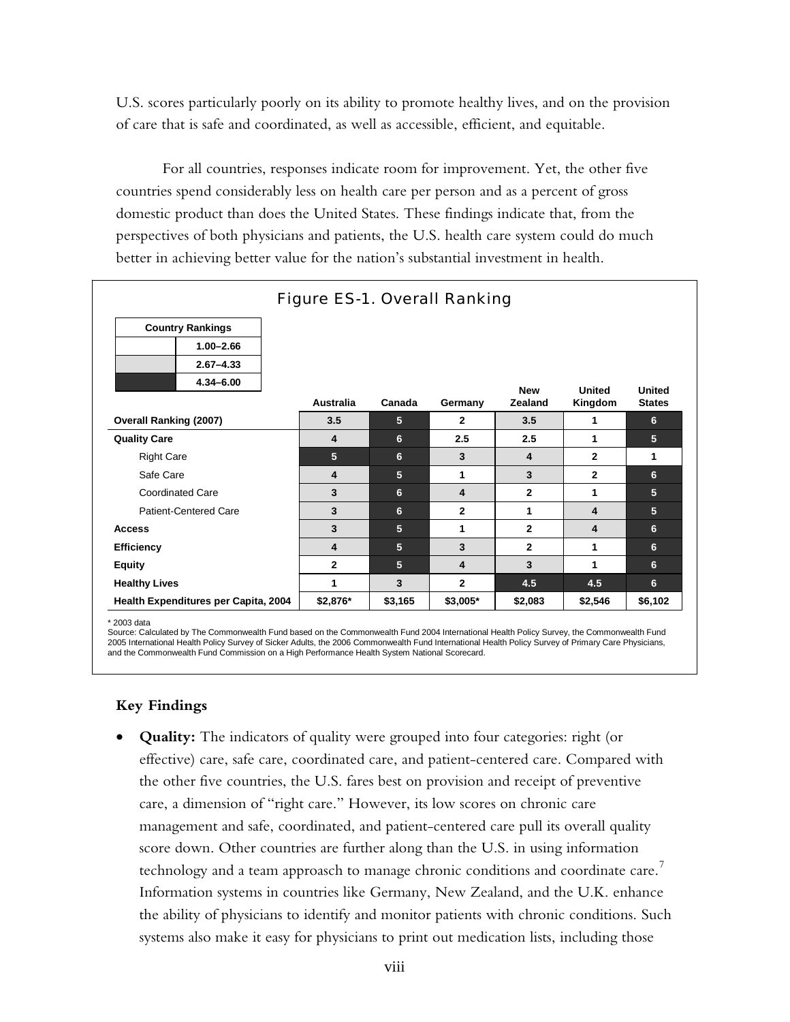U.S. scores particularly poorly on its ability to promote healthy lives, and on the provision of care that is safe and coordinated, as well as accessible, efficient, and equitable.

For all countries, responses indicate room for improvement. Yet, the other five countries spend considerably less on health care per person and as a percent of gross domestic product than does the United States. These findings indicate that, from the perspectives of both physicians and patients, the U.S. health care system could do much better in achieving better value for the nation's substantial investment in health.

| <b>Figure ES-1. Overall Ranking</b>  |              |                |                         |                              |                          |                                |  |  |  |  |  |
|--------------------------------------|--------------|----------------|-------------------------|------------------------------|--------------------------|--------------------------------|--|--|--|--|--|
| <b>Country Rankings</b>              |              |                |                         |                              |                          |                                |  |  |  |  |  |
| $1.00 - 2.66$                        |              |                |                         |                              |                          |                                |  |  |  |  |  |
| $2.67 - 4.33$                        |              |                |                         |                              |                          |                                |  |  |  |  |  |
| 4.34-6.00                            | Australia    | Canada         | Germany                 | <b>New</b><br><b>Zealand</b> | <b>United</b><br>Kingdom | <b>United</b><br><b>States</b> |  |  |  |  |  |
| <b>Overall Ranking (2007)</b>        | 3.5          | $\overline{5}$ | $\mathbf{2}$            | 3.5                          | 1                        | 6                              |  |  |  |  |  |
| <b>Quality Care</b>                  | 4            | 6              | 2.5                     | 2.5                          | 1                        | 5                              |  |  |  |  |  |
| <b>Right Care</b>                    | 5            | 6              | 3                       | 4                            | $\mathbf{2}$             | 1                              |  |  |  |  |  |
| Safe Care                            | 4            | 5              | 1                       | 3                            | $\mathbf{2}$             | 6                              |  |  |  |  |  |
| <b>Coordinated Care</b>              | 3            | 6              | $\overline{\mathbf{4}}$ | $\overline{2}$               | 1                        | 5                              |  |  |  |  |  |
| <b>Patient-Centered Care</b>         | 3            | 6              | $\mathbf{2}$            | 1                            | 4                        | 5                              |  |  |  |  |  |
| <b>Access</b>                        | 3            | 5              | 1                       | $\mathbf{2}$                 | 4                        | 6                              |  |  |  |  |  |
| <b>Efficiency</b>                    | 4            | 5              | 3                       | $\overline{2}$               | 1                        | 6                              |  |  |  |  |  |
| <b>Equity</b>                        | $\mathbf{2}$ | 5              | 4                       | 3                            | 1                        | 6                              |  |  |  |  |  |
| <b>Healthy Lives</b>                 | 1            | 3              | $\overline{2}$          | 4.5                          | 4.5                      | 6                              |  |  |  |  |  |
| Health Expenditures per Capita, 2004 | \$2,876*     | \$3,165        | \$3,005*                | \$2,083                      | \$2,546                  | \$6,102                        |  |  |  |  |  |

\* 2003 data

Source: Calculated by The Commonwealth Fund based on the Commonwealth Fund 2004 International Health Policy Survey, the Commonwealth Fund 2005 International Health Policy Survey of Sicker Adults, the 2006 Commonwealth Fund International Health Policy Survey of Primary Care Physicians, and the Commonwealth Fund Commission on a High Performance Health System National Scorecard.

## **Key Findings**

• **Quality:** The indicators of quality were grouped into four categories: right (or effective) care, safe care, coordinated care, and patient-centered care. Compared with the other five countries, the U.S. fares best on provision and receipt of preventive care, a dimension of "right care." However, its low scores on chronic care management and safe, coordinated, and patient-centered care pull its overall quality score down. Other countries are further along than the U.S. in using information technology and a team approasch to manage chronic conditions and coordinate care. $^7$ Information systems in countries like Germany, New Zealand, and the U.K. enhance the ability of physicians to identify and monitor patients with chronic conditions. Such systems also make it easy for physicians to print out medication lists, including those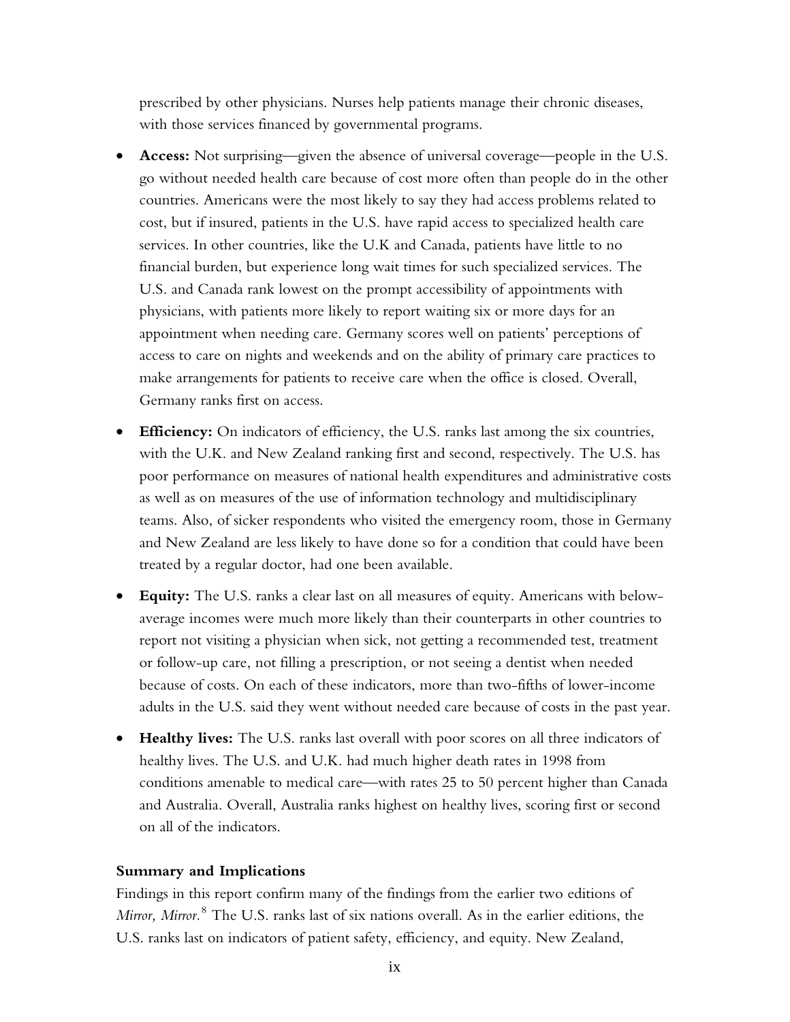prescribed by other physicians. Nurses help patients manage their chronic diseases, with those services financed by governmental programs.

- **Access:** Not surprising—given the absence of universal coverage—people in the U.S. go without needed health care because of cost more often than people do in the other countries. Americans were the most likely to say they had access problems related to cost, but if insured, patients in the U.S. have rapid access to specialized health care services. In other countries, like the U.K and Canada, patients have little to no financial burden, but experience long wait times for such specialized services. The U.S. and Canada rank lowest on the prompt accessibility of appointments with physicians, with patients more likely to report waiting six or more days for an appointment when needing care. Germany scores well on patients' perceptions of access to care on nights and weekends and on the ability of primary care practices to make arrangements for patients to receive care when the office is closed. Overall, Germany ranks first on access.
- **Efficiency:** On indicators of efficiency, the U.S. ranks last among the six countries, with the U.K. and New Zealand ranking first and second, respectively. The U.S. has poor performance on measures of national health expenditures and administrative costs as well as on measures of the use of information technology and multidisciplinary teams. Also, of sicker respondents who visited the emergency room, those in Germany and New Zealand are less likely to have done so for a condition that could have been treated by a regular doctor, had one been available.
- **Equity:** The U.S. ranks a clear last on all measures of equity. Americans with belowaverage incomes were much more likely than their counterparts in other countries to report not visiting a physician when sick, not getting a recommended test, treatment or follow-up care, not filling a prescription, or not seeing a dentist when needed because of costs. On each of these indicators, more than two-fifths of lower-income adults in the U.S. said they went without needed care because of costs in the past year.
- **Healthy lives:** The U.S. ranks last overall with poor scores on all three indicators of healthy lives. The U.S. and U.K. had much higher death rates in 1998 from conditions amenable to medical care—with rates 25 to 50 percent higher than Canada and Australia. Overall, Australia ranks highest on healthy lives, scoring first or second on all of the indicators.

#### **Summary and Implications**

Findings in this report confirm many of the findings from the earlier two editions of *Mirror, Mirror.*<sup>8</sup> The U.S. ranks last of six nations overall. As in the earlier editions, the U.S. ranks last on indicators of patient safety, efficiency, and equity. New Zealand,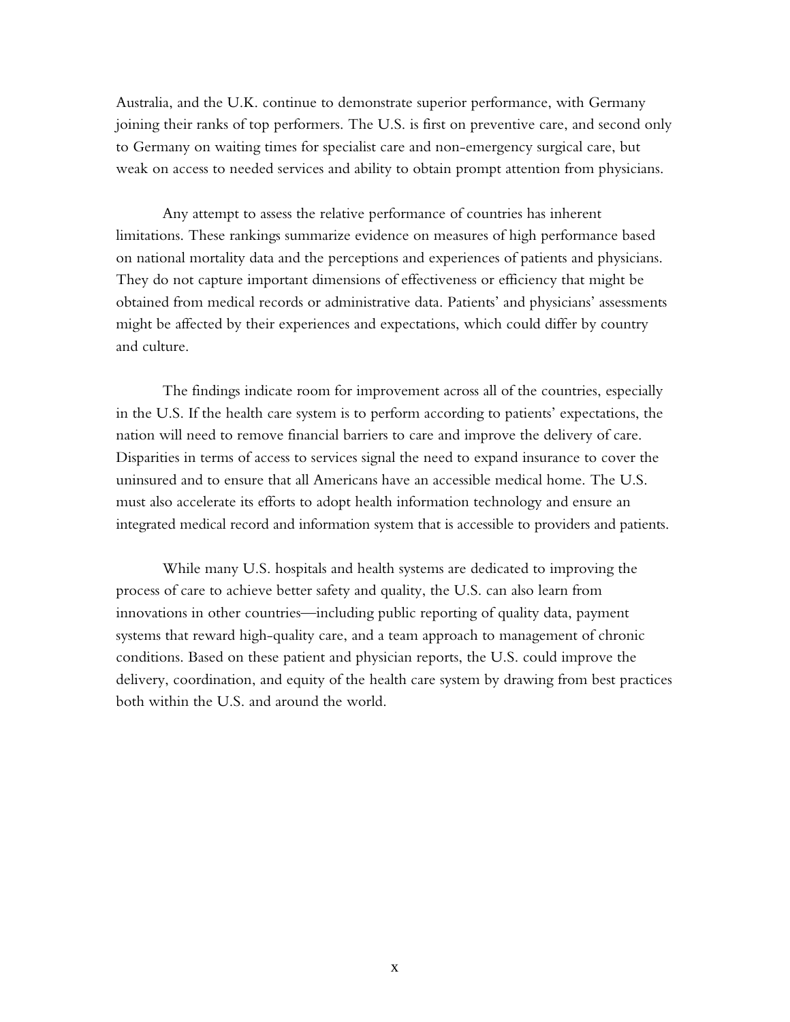Australia, and the U.K. continue to demonstrate superior performance, with Germany joining their ranks of top performers. The U.S. is first on preventive care, and second only to Germany on waiting times for specialist care and non-emergency surgical care, but weak on access to needed services and ability to obtain prompt attention from physicians.

Any attempt to assess the relative performance of countries has inherent limitations. These rankings summarize evidence on measures of high performance based on national mortality data and the perceptions and experiences of patients and physicians. They do not capture important dimensions of effectiveness or efficiency that might be obtained from medical records or administrative data. Patients' and physicians' assessments might be affected by their experiences and expectations, which could differ by country and culture.

The findings indicate room for improvement across all of the countries, especially in the U.S. If the health care system is to perform according to patients' expectations, the nation will need to remove financial barriers to care and improve the delivery of care. Disparities in terms of access to services signal the need to expand insurance to cover the uninsured and to ensure that all Americans have an accessible medical home. The U.S. must also accelerate its efforts to adopt health information technology and ensure an integrated medical record and information system that is accessible to providers and patients.

While many U.S. hospitals and health systems are dedicated to improving the process of care to achieve better safety and quality, the U.S. can also learn from innovations in other countries—including public reporting of quality data, payment systems that reward high-quality care, and a team approach to management of chronic conditions. Based on these patient and physician reports, the U.S. could improve the delivery, coordination, and equity of the health care system by drawing from best practices both within the U.S. and around the world.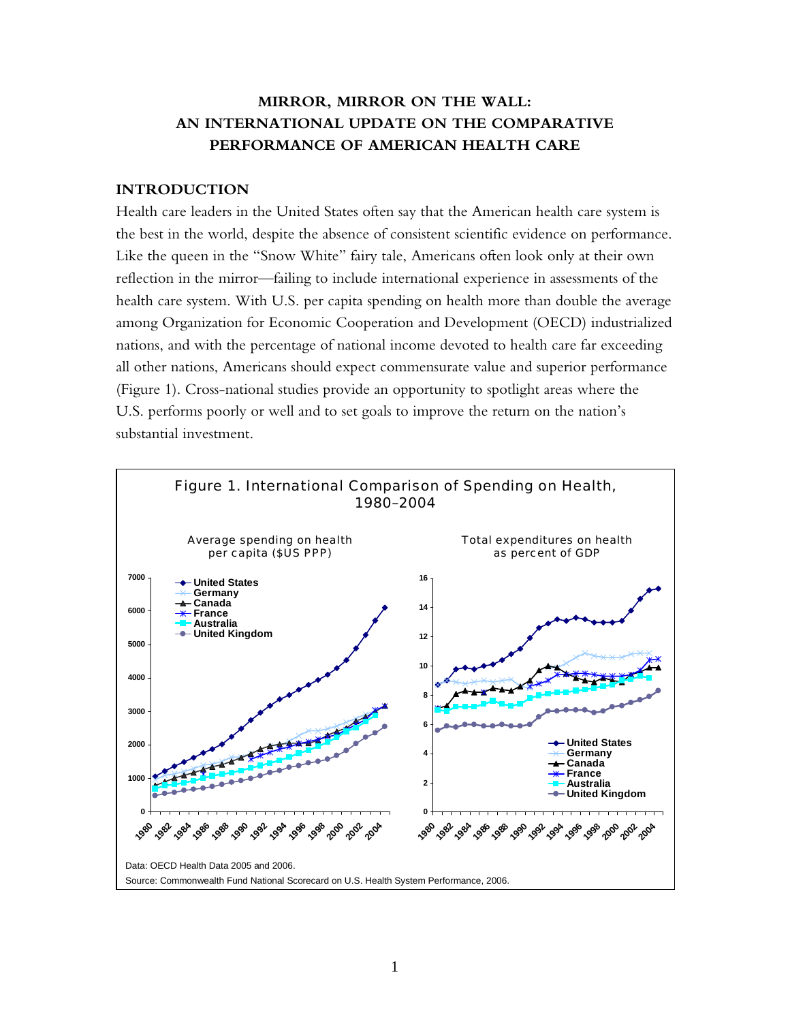## **MIRROR, MIRROR ON THE WALL: AN INTERNATIONAL UPDATE ON THE COMPARATIVE PERFORMANCE OF AMERICAN HEALTH CARE**

#### **INTRODUCTION**

Health care leaders in the United States often say that the American health care system is the best in the world, despite the absence of consistent scientific evidence on performance. Like the queen in the "Snow White" fairy tale, Americans often look only at their own reflection in the mirror—failing to include international experience in assessments of the health care system. With U.S. per capita spending on health more than double the average among Organization for Economic Cooperation and Development (OECD) industrialized nations, and with the percentage of national income devoted to health care far exceeding all other nations, Americans should expect commensurate value and superior performance (Figure 1). Cross-national studies provide an opportunity to spotlight areas where the U.S. performs poorly or well and to set goals to improve the return on the nation's substantial investment.

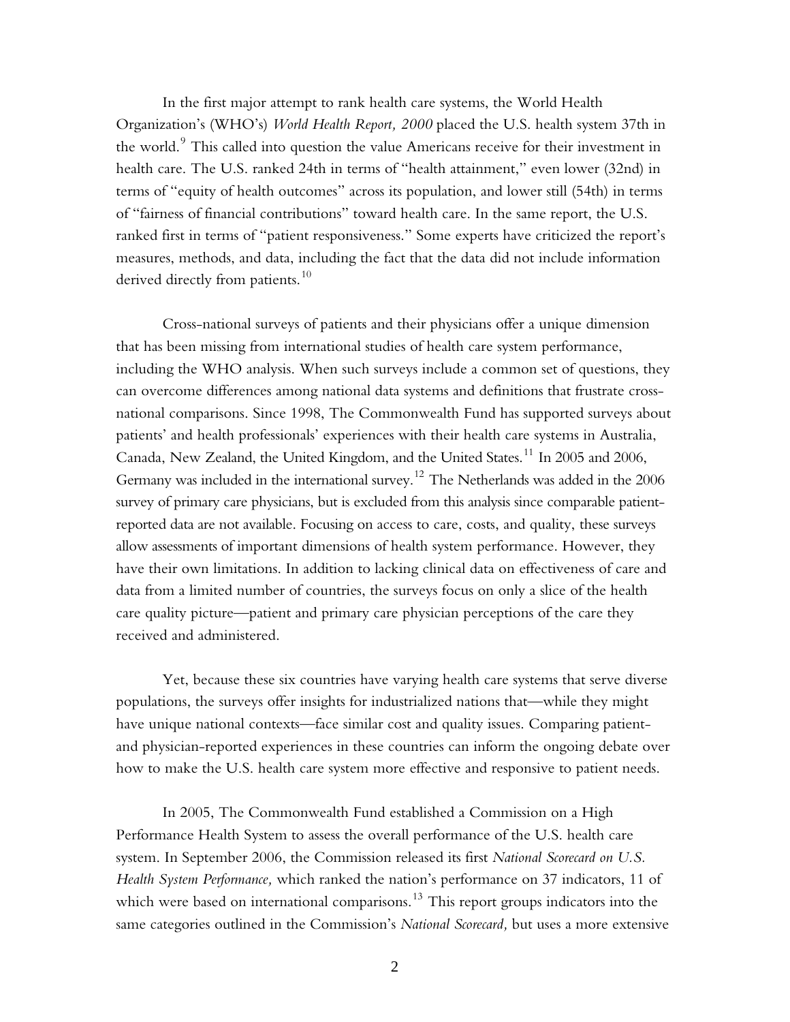In the first major attempt to rank health care systems, the World Health Organization's (WHO's) *World Health Report, 2000* placed the U.S. health system 37th in the world. $^9$  This called into question the value Americans receive for their investment in health care. The U.S. ranked 24th in terms of "health attainment," even lower (32nd) in terms of "equity of health outcomes" across its population, and lower still (54th) in terms of "fairness of financial contributions" toward health care. In the same report, the U.S. ranked first in terms of "patient responsiveness." Some experts have criticized the report's measures, methods, and data, including the fact that the data did not include information derived directly from patients.<sup>10</sup>

Cross-national surveys of patients and their physicians offer a unique dimension that has been missing from international studies of health care system performance, including the WHO analysis. When such surveys include a common set of questions, they can overcome differences among national data systems and definitions that frustrate crossnational comparisons. Since 1998, The Commonwealth Fund has supported surveys about patients' and health professionals' experiences with their health care systems in Australia, Canada, New Zealand, the United Kingdom, and the United States.11 In 2005 and 2006, Germany was included in the international survey.<sup>12</sup> The Netherlands was added in the  $2006$ survey of primary care physicians, but is excluded from this analysis since comparable patientreported data are not available. Focusing on access to care, costs, and quality, these surveys allow assessments of important dimensions of health system performance. However, they have their own limitations. In addition to lacking clinical data on effectiveness of care and data from a limited number of countries, the surveys focus on only a slice of the health care quality picture—patient and primary care physician perceptions of the care they received and administered.

Yet, because these six countries have varying health care systems that serve diverse populations, the surveys offer insights for industrialized nations that—while they might have unique national contexts—face similar cost and quality issues. Comparing patientand physician-reported experiences in these countries can inform the ongoing debate over how to make the U.S. health care system more effective and responsive to patient needs.

In 2005, The Commonwealth Fund established a Commission on a High Performance Health System to assess the overall performance of the U.S. health care system. In September 2006, the Commission released its first *National Scorecard on U.S. Health System Performance,* which ranked the nation's performance on 37 indicators, 11 of which were based on international comparisons.<sup>13</sup> This report groups indicators into the same categories outlined in the Commission's *National Scorecard,* but uses a more extensive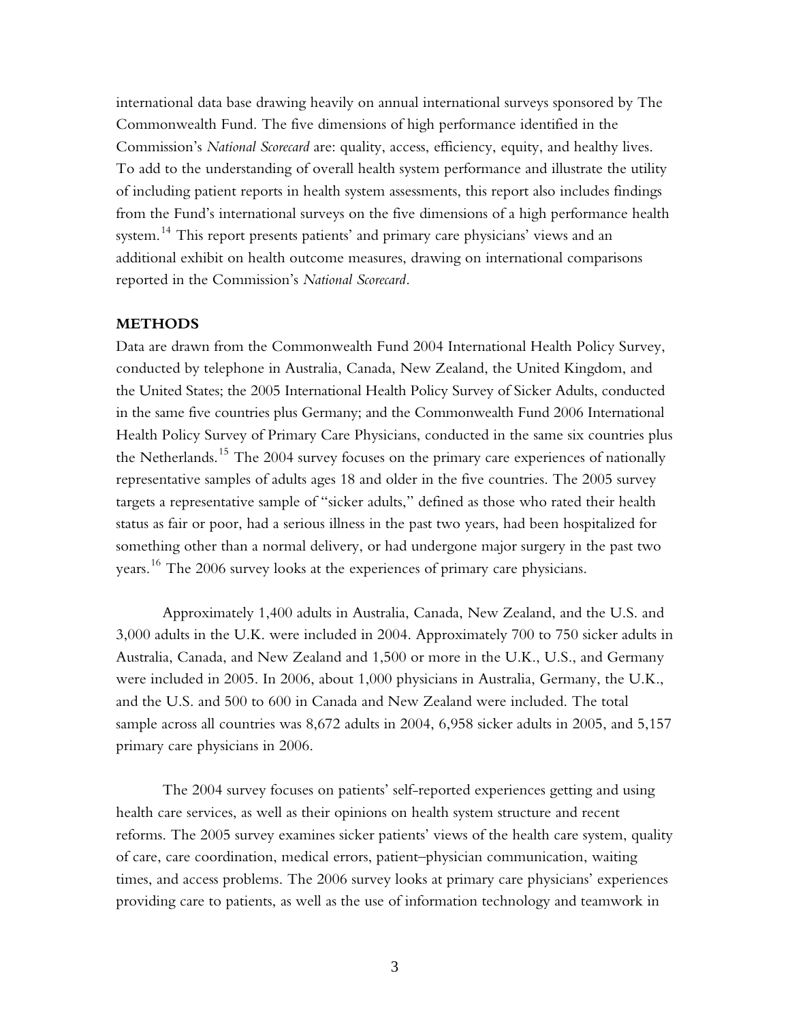international data base drawing heavily on annual international surveys sponsored by The Commonwealth Fund. The five dimensions of high performance identified in the Commission's *National Scorecard* are: quality, access, efficiency, equity, and healthy lives. To add to the understanding of overall health system performance and illustrate the utility of including patient reports in health system assessments, this report also includes findings from the Fund's international surveys on the five dimensions of a high performance health system.<sup>14</sup> This report presents patients' and primary care physicians' views and an additional exhibit on health outcome measures, drawing on international comparisons reported in the Commission's *National Scorecard.*

#### **METHODS**

Data are drawn from the Commonwealth Fund 2004 International Health Policy Survey, conducted by telephone in Australia, Canada, New Zealand, the United Kingdom, and the United States; the 2005 International Health Policy Survey of Sicker Adults, conducted in the same five countries plus Germany; and the Commonwealth Fund 2006 International Health Policy Survey of Primary Care Physicians, conducted in the same six countries plus the Netherlands.<sup>15</sup> The 2004 survey focuses on the primary care experiences of nationally representative samples of adults ages 18 and older in the five countries. The 2005 survey targets a representative sample of "sicker adults," defined as those who rated their health status as fair or poor, had a serious illness in the past two years, had been hospitalized for something other than a normal delivery, or had undergone major surgery in the past two years. 16 The 2006 survey looks at the experiences of primary care physicians.

Approximately 1,400 adults in Australia, Canada, New Zealand, and the U.S. and 3,000 adults in the U.K. were included in 2004. Approximately 700 to 750 sicker adults in Australia, Canada, and New Zealand and 1,500 or more in the U.K., U.S., and Germany were included in 2005. In 2006, about 1,000 physicians in Australia, Germany, the U.K., and the U.S. and 500 to 600 in Canada and New Zealand were included. The total sample across all countries was 8,672 adults in 2004, 6,958 sicker adults in 2005, and 5,157 primary care physicians in 2006.

The 2004 survey focuses on patients' self-reported experiences getting and using health care services, as well as their opinions on health system structure and recent reforms. The 2005 survey examines sicker patients' views of the health care system, quality of care, care coordination, medical errors, patient–physician communication, waiting times, and access problems. The 2006 survey looks at primary care physicians' experiences providing care to patients, as well as the use of information technology and teamwork in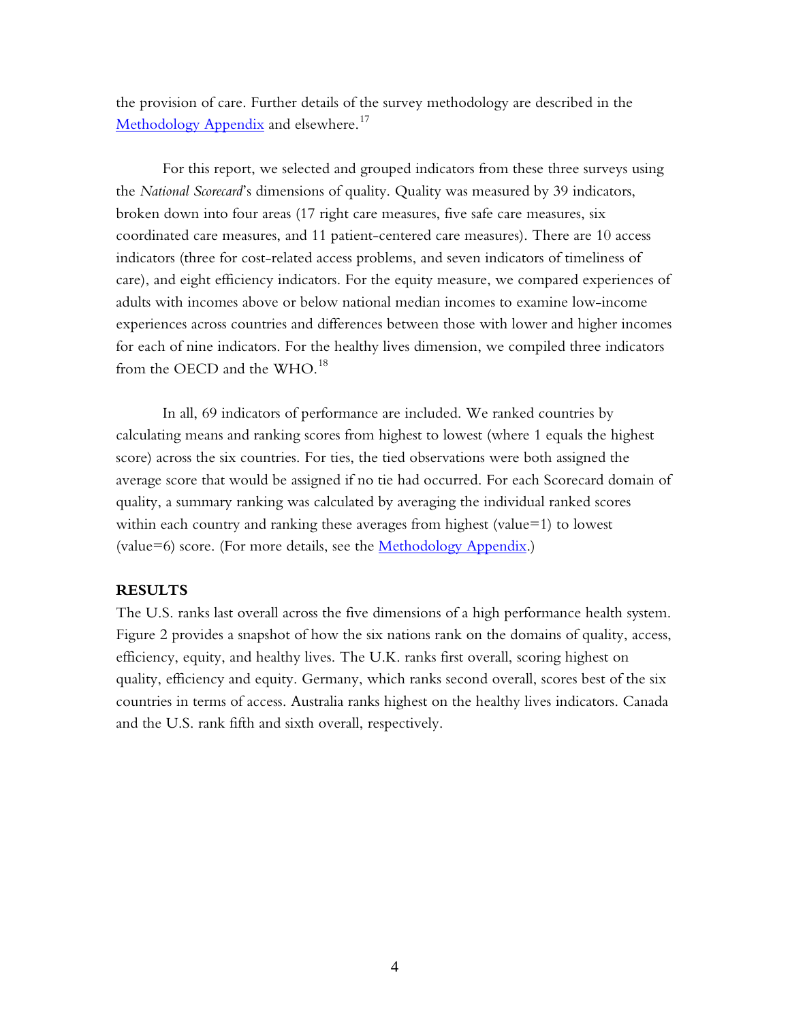the provision of care. Further details of the survey methodology are described in the Methodology Appendix and elsewhere.<sup>17</sup>

For this report, we selected and grouped indicators from these three surveys using the *National Scorecard*'s dimensions of quality. Quality was measured by 39 indicators, broken down into four areas (17 right care measures, five safe care measures, six coordinated care measures, and 11 patient-centered care measures). There are 10 access indicators (three for cost-related access problems, and seven indicators of timeliness of care), and eight efficiency indicators. For the equity measure, we compared experiences of adults with incomes above or below national median incomes to examine low-income experiences across countries and differences between those with lower and higher incomes for each of nine indicators. For the healthy lives dimension, we compiled three indicators from the OECD and the WHO. $^{18}$ 

In all, 69 indicators of performance are included. We ranked countries by calculating means and ranking scores from highest to lowest (where 1 equals the highest score) across the six countries. For ties, the tied observations were both assigned the average score that would be assigned if no tie had occurred. For each Scorecard domain of quality, a summary ranking was calculated by averaging the individual ranked scores within each country and ranking these averages from highest (value= $1$ ) to lowest (value=6) score. (For more details, see the Methodology Appendix.)

#### **RESULTS**

The U.S. ranks last overall across the five dimensions of a high performance health system. Figure 2 provides a snapshot of how the six nations rank on the domains of quality, access, efficiency, equity, and healthy lives. The U.K. ranks first overall, scoring highest on quality, efficiency and equity. Germany, which ranks second overall, scores best of the six countries in terms of access. Australia ranks highest on the healthy lives indicators. Canada and the U.S. rank fifth and sixth overall, respectively.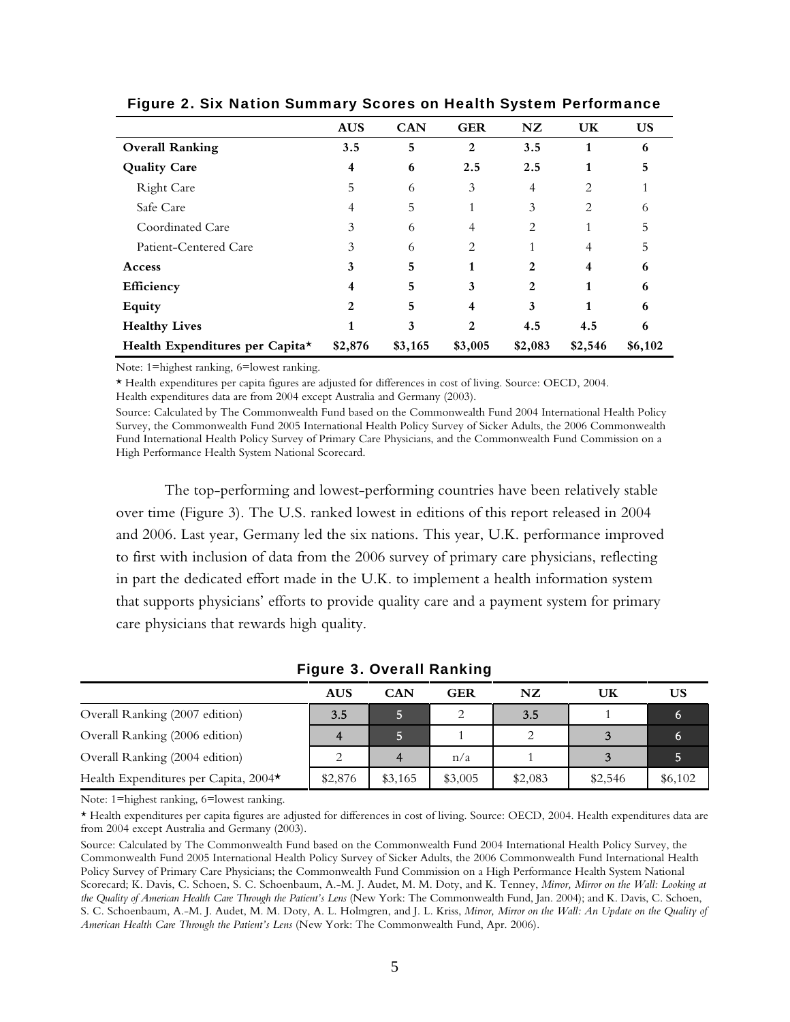|                                 | <b>AUS</b> | <b>CAN</b> | <b>GER</b>   | NZ             | UK      | <b>US</b> |
|---------------------------------|------------|------------|--------------|----------------|---------|-----------|
| <b>Overall Ranking</b>          | 3.5        | 5          | 2            | 3.5            | 1       | 6         |
| <b>Quality Care</b>             | 4          | 6          | 2.5          | 2.5            |         |           |
| <b>Right Care</b>               | 5          | 6          | 3            | $\overline{4}$ | 2       |           |
| Safe Care                       |            | 5          |              | 3              | 2       | 6         |
| Coordinated Care                | 3          | 6          | 4            | 2              |         | ר         |
| Patient-Centered Care           | 3          | 6          | 2            |                |         | 5         |
| Access                          | 3          | 5          | 1            | 2              | 4       | 6         |
| Efficiency                      |            | 5          | 3            | 2              |         | 6         |
| <b>Equity</b>                   | 2          | 5          |              | 3              |         | 6         |
| <b>Healthy Lives</b>            |            | 3          | $\mathbf{2}$ | 4.5            | 4.5     | 6         |
| Health Expenditures per Capita* | \$2,876    | \$3,165    | \$3,005      | \$2,083        | \$2,546 | \$6,102   |

Figure 2. Six Nation Summary Scores on Health System Performance

Note: 1=highest ranking, 6=lowest ranking.

\* Health expenditures per capita figures are adjusted for differences in cost of living. Source: OECD, 2004.

Health expenditures data are from 2004 except Australia and Germany (2003).

Source: Calculated by The Commonwealth Fund based on the Commonwealth Fund 2004 International Health Policy Survey, the Commonwealth Fund 2005 International Health Policy Survey of Sicker Adults, the 2006 Commonwealth Fund International Health Policy Survey of Primary Care Physicians, and the Commonwealth Fund Commission on a High Performance Health System National Scorecard.

The top-performing and lowest-performing countries have been relatively stable over time (Figure 3). The U.S. ranked lowest in editions of this report released in 2004 and 2006. Last year, Germany led the six nations. This year, U.K. performance improved to first with inclusion of data from the 2006 survey of primary care physicians, reflecting in part the dedicated effort made in the U.K. to implement a health information system that supports physicians' efforts to provide quality care and a payment system for primary care physicians that rewards high quality.

|                                       | <b>AUS</b> | <b>CAN</b> | <b>GER</b> | NZ      | UK      | US      |
|---------------------------------------|------------|------------|------------|---------|---------|---------|
| Overall Ranking (2007 edition)        | 3.5        | 5.         |            | 3.5     |         |         |
| Overall Ranking (2006 edition)        | 4          |            |            |         |         |         |
| Overall Ranking (2004 edition)        |            | 4          | n/a        |         |         |         |
| Health Expenditures per Capita, 2004* | \$2,876    | \$3,165    | \$3,005    | \$2,083 | \$2,546 | \$6,102 |

Figure 3. Overall Ranking

Note: 1=highest ranking, 6=lowest ranking.

\* Health expenditures per capita figures are adjusted for differences in cost of living. Source: OECD, 2004. Health expenditures data are from 2004 except Australia and Germany (2003).

Source: Calculated by The Commonwealth Fund based on the Commonwealth Fund 2004 International Health Policy Survey, the Commonwealth Fund 2005 International Health Policy Survey of Sicker Adults, the 2006 Commonwealth Fund International Health Policy Survey of Primary Care Physicians; the Commonwealth Fund Commission on a High Performance Health System National Scorecard; K. Davis, C. Schoen, S. C. Schoenbaum, A.-M. J. Audet, M. M. Doty, and K. Tenney, *Mirror, Mirror on the Wall: Looking at the Quality of American Health Care Through the Patient's Lens* (New York: The Commonwealth Fund, Jan. 2004); and K. Davis, C. Schoen, S. C. Schoenbaum, A.-M. J. Audet, M. M. Doty, A. L. Holmgren, and J. L. Kriss, *Mirror, Mirror on the Wall: An Update on the Quality of American Health Care Through the Patient's Lens* (New York: The Commonwealth Fund, Apr. 2006).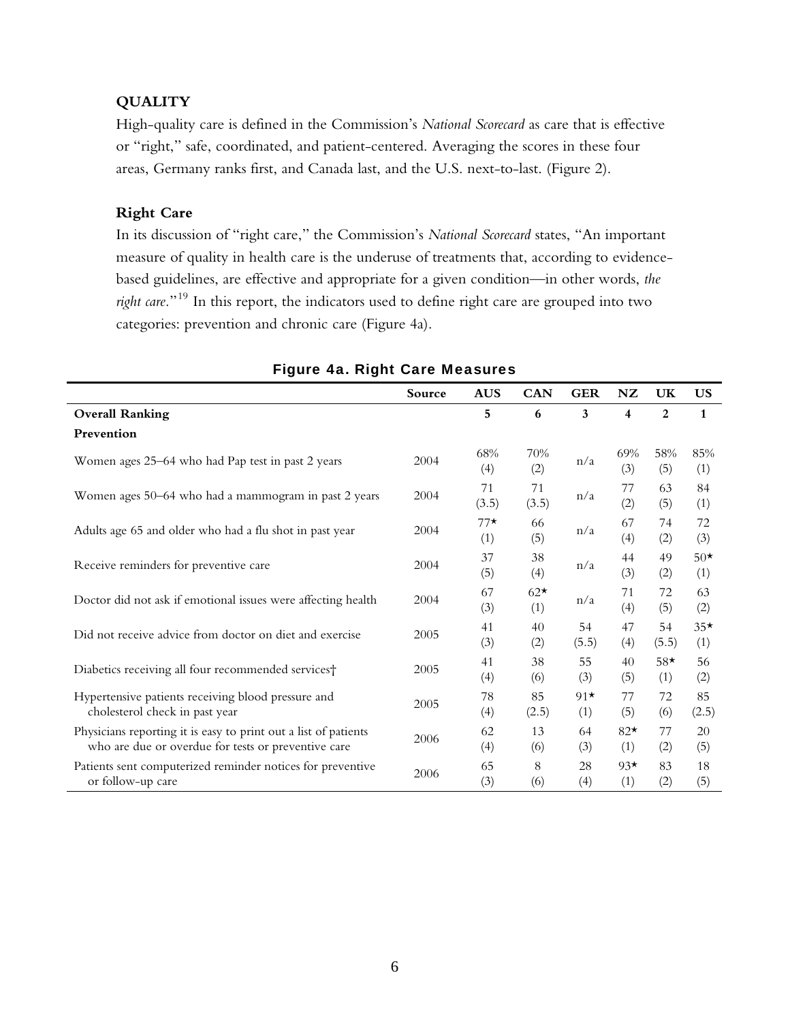## **QUALITY**

High-quality care is defined in the Commission's *National Scorecard* as care that is effective or "right," safe, coordinated, and patient-centered. Averaging the scores in these four areas, Germany ranks first, and Canada last, and the U.S. next-to-last. (Figure 2).

## **Right Care**

In its discussion of "right care," the Commission's *National Scorecard* states, "An important measure of quality in health care is the underuse of treatments that, according to evidencebased guidelines, are effective and appropriate for a given condition—in other words, *the right care.*"19 In this report, the indicators used to define right care are grouped into two categories: prevention and chronic care (Figure 4a).

|                                                                                                                        | Source | <b>AUS</b>   | <b>CAN</b>   | <b>GER</b>   | NZ           | UK             | <b>US</b>    |
|------------------------------------------------------------------------------------------------------------------------|--------|--------------|--------------|--------------|--------------|----------------|--------------|
| <b>Overall Ranking</b>                                                                                                 |        | 5            | 6            | 3            | 4            | $\overline{2}$ | $\mathbf{1}$ |
| Prevention                                                                                                             |        |              |              |              |              |                |              |
| Women ages 25–64 who had Pap test in past 2 years                                                                      | 2004   | 68%<br>(4)   | 70%<br>(2)   | n/a          | 69%<br>(3)   | 58%<br>(5)     | 85%<br>(1)   |
| Women ages 50–64 who had a mammogram in past 2 years                                                                   | 2004   | 71<br>(3.5)  | 71<br>(3.5)  | n/a          | 77<br>(2)    | 63<br>(5)      | 84<br>(1)    |
| Adults age 65 and older who had a flu shot in past year                                                                | 2004   | $77*$<br>(1) | 66<br>(5)    | n/a          | 67<br>(4)    | 74<br>(2)      | 72<br>(3)    |
| Receive reminders for preventive care                                                                                  | 2004   | 37<br>(5)    | 38<br>(4)    | n/a          | 44<br>(3)    | 49<br>(2)      | $50*$<br>(1) |
| Doctor did not ask if emotional issues were affecting health                                                           | 2004   | 67<br>(3)    | $62*$<br>(1) | n/a          | 71<br>(4)    | 72<br>(5)      | 63<br>(2)    |
| Did not receive advice from doctor on diet and exercise                                                                | 2005   | 41<br>(3)    | 40<br>(2)    | 54<br>(5.5)  | 47<br>(4)    | 54<br>(5.5)    | $35*$<br>(1) |
| Diabetics receiving all four recommended services†                                                                     | 2005   | 41<br>(4)    | 38<br>(6)    | 55<br>(3)    | 40<br>(5)    | $58*$<br>(1)   | 56<br>(2)    |
| Hypertensive patients receiving blood pressure and<br>cholesterol check in past year                                   | 2005   | 78<br>(4)    | 85<br>(2.5)  | $91*$<br>(1) | 77<br>(5)    | 72<br>(6)      | 85<br>(2.5)  |
| Physicians reporting it is easy to print out a list of patients<br>who are due or overdue for tests or preventive care | 2006   | 62<br>(4)    | 13<br>(6)    | 64<br>(3)    | $82*$<br>(1) | 77<br>(2)      | 20<br>(5)    |
| Patients sent computerized reminder notices for preventive<br>or follow-up care                                        | 2006   | 65<br>(3)    | 8<br>(6)     | 28<br>(4)    | $93*$<br>(1) | 83<br>(2)      | 18<br>(5)    |

## Figure 4a. Right Care Measures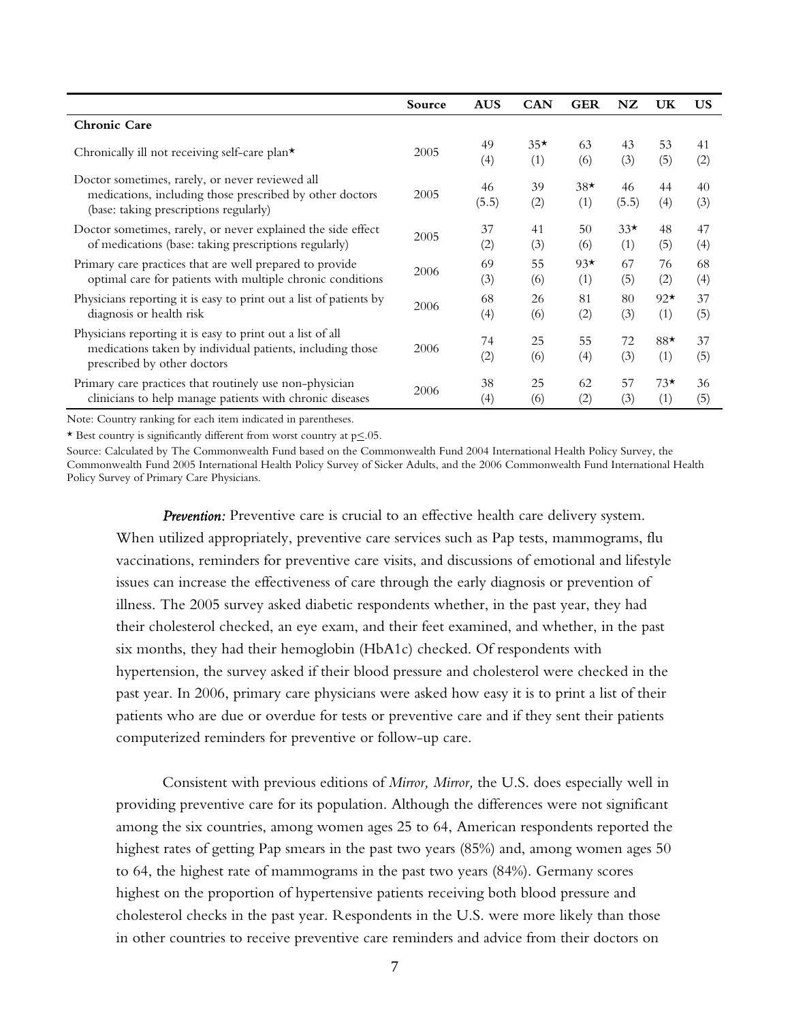|                                                                                                                                                        | Source | <b>AUS</b>  | <b>CAN</b>   | <b>GER</b>   | NZ           | UK           | <b>US</b> |
|--------------------------------------------------------------------------------------------------------------------------------------------------------|--------|-------------|--------------|--------------|--------------|--------------|-----------|
| <b>Chronic Care</b>                                                                                                                                    |        |             |              |              |              |              |           |
| Chronically ill not receiving self-care plan*                                                                                                          | 2005   | 49<br>(4)   | $35*$<br>(1) | 63<br>(6)    | 43<br>(3)    | 53<br>(5)    | 41<br>(2) |
| Doctor sometimes, rarely, or never reviewed all<br>medications, including those prescribed by other doctors<br>(base: taking prescriptions regularly)  | 2005   | 46<br>(5.5) | 39<br>(2)    | $38*$<br>(1) | 46<br>(5.5)  | 44<br>(4)    | 40<br>(3) |
| Doctor sometimes, rarely, or never explained the side effect<br>of medications (base: taking prescriptions regularly)                                  | 2005   | 37<br>(2)   | 41<br>(3)    | 50<br>(6)    | $33*$<br>(1) | 48<br>(5)    | 47<br>(4) |
| Primary care practices that are well prepared to provide<br>optimal care for patients with multiple chronic conditions                                 | 2006   | 69<br>(3)   | 55<br>(6)    | $93*$<br>(1) | 67<br>(5)    | 76<br>(2)    | 68<br>(4) |
| Physicians reporting it is easy to print out a list of patients by<br>diagnosis or health risk                                                         | 2006   | 68<br>(4)   | 26<br>(6)    | 81<br>(2)    | 80<br>(3)    | $92*$<br>(1) | 37<br>(5) |
| Physicians reporting it is easy to print out a list of all<br>medications taken by individual patients, including those<br>prescribed by other doctors | 2006   | 74<br>(2)   | 25<br>(6)    | 55<br>(4)    | 72<br>(3)    | $88*$<br>(1) | 37<br>(5) |
| Primary care practices that routinely use non-physician<br>clinicians to help manage patients with chronic diseases                                    | 2006   | 38<br>(4)   | 25<br>(6)    | 62<br>(2)    | 57<br>(3)    | $73*$<br>(1) | 36<br>(5) |

Note: Country ranking for each item indicated in parentheses.

\* Best country is significantly different from worst country at p<.05.

Source: Calculated by The Commonwealth Fund based on the Commonwealth Fund 2004 International Health Policy Survey, the Commonwealth Fund 2005 International Health Policy Survey of Sicker Adults, and the 2006 Commonwealth Fund International Health Policy Survey of Primary Care Physicians.

*Prevention:* Preventive care is crucial to an effective health care delivery system. When utilized appropriately, preventive care services such as Pap tests, mammograms, flu vaccinations, reminders for preventive care visits, and discussions of emotional and lifestyle issues can increase the effectiveness of care through the early diagnosis or prevention of illness. The 2005 survey asked diabetic respondents whether, in the past year, they had their cholesterol checked, an eye exam, and their feet examined, and whether, in the past six months, they had their hemoglobin (HbA1c) checked. Of respondents with hypertension, the survey asked if their blood pressure and cholesterol were checked in the past year. In 2006, primary care physicians were asked how easy it is to print a list of their patients who are due or overdue for tests or preventive care and if they sent their patients computerized reminders for preventive or follow-up care.

Consistent with previous editions of *Mirror, Mirror,* the U.S. does especially well in providing preventive care for its population. Although the differences were not significant among the six countries, among women ages 25 to 64, American respondents reported the highest rates of getting Pap smears in the past two years (85%) and, among women ages 50 to 64, the highest rate of mammograms in the past two years (84%). Germany scores highest on the proportion of hypertensive patients receiving both blood pressure and cholesterol checks in the past year. Respondents in the U.S. were more likely than those in other countries to receive preventive care reminders and advice from their doctors on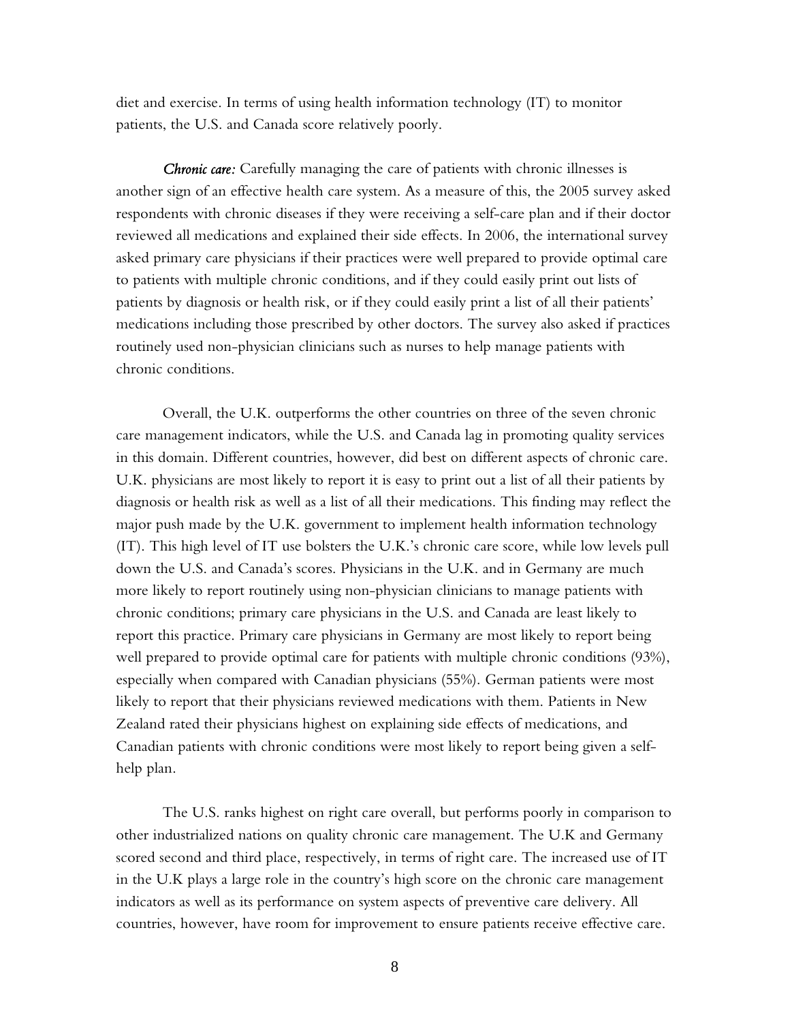diet and exercise. In terms of using health information technology (IT) to monitor patients, the U.S. and Canada score relatively poorly.

*Chronic care:* Carefully managing the care of patients with chronic illnesses is another sign of an effective health care system. As a measure of this, the 2005 survey asked respondents with chronic diseases if they were receiving a self-care plan and if their doctor reviewed all medications and explained their side effects. In 2006, the international survey asked primary care physicians if their practices were well prepared to provide optimal care to patients with multiple chronic conditions, and if they could easily print out lists of patients by diagnosis or health risk, or if they could easily print a list of all their patients' medications including those prescribed by other doctors. The survey also asked if practices routinely used non-physician clinicians such as nurses to help manage patients with chronic conditions.

Overall, the U.K. outperforms the other countries on three of the seven chronic care management indicators, while the U.S. and Canada lag in promoting quality services in this domain. Different countries, however, did best on different aspects of chronic care. U.K. physicians are most likely to report it is easy to print out a list of all their patients by diagnosis or health risk as well as a list of all their medications. This finding may reflect the major push made by the U.K. government to implement health information technology (IT). This high level of IT use bolsters the U.K.'s chronic care score, while low levels pull down the U.S. and Canada's scores. Physicians in the U.K. and in Germany are much more likely to report routinely using non-physician clinicians to manage patients with chronic conditions; primary care physicians in the U.S. and Canada are least likely to report this practice. Primary care physicians in Germany are most likely to report being well prepared to provide optimal care for patients with multiple chronic conditions (93%), especially when compared with Canadian physicians (55%). German patients were most likely to report that their physicians reviewed medications with them. Patients in New Zealand rated their physicians highest on explaining side effects of medications, and Canadian patients with chronic conditions were most likely to report being given a selfhelp plan.

The U.S. ranks highest on right care overall, but performs poorly in comparison to other industrialized nations on quality chronic care management. The U.K and Germany scored second and third place, respectively, in terms of right care. The increased use of IT in the U.K plays a large role in the country's high score on the chronic care management indicators as well as its performance on system aspects of preventive care delivery. All countries, however, have room for improvement to ensure patients receive effective care.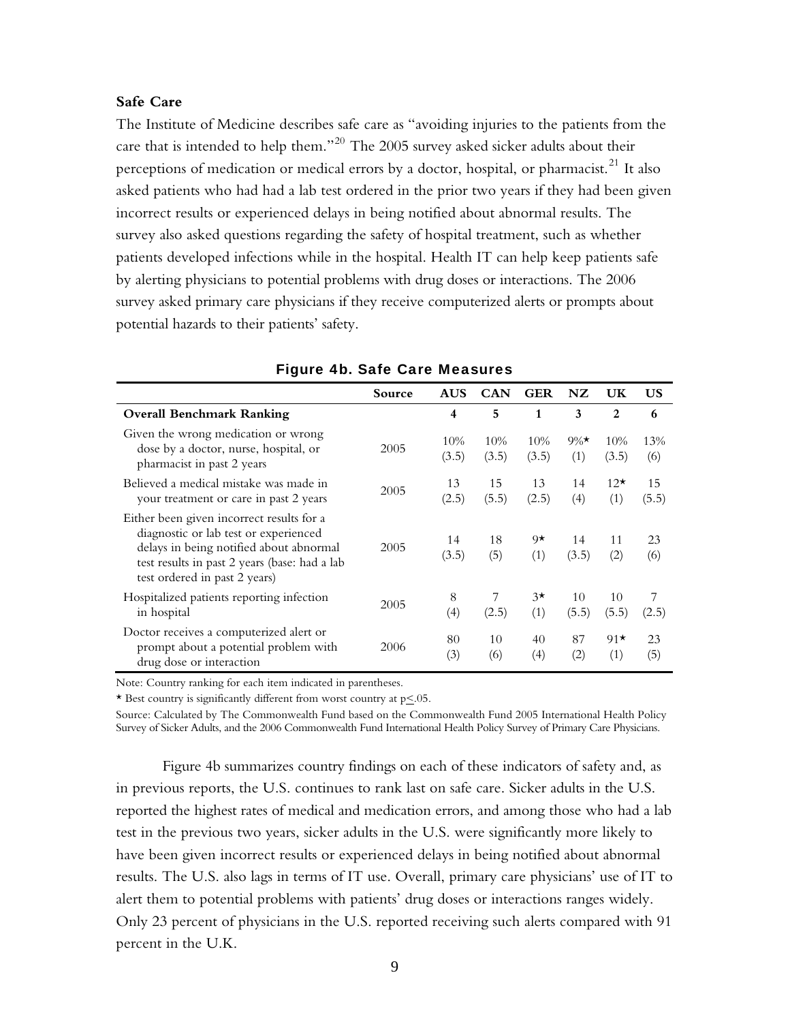#### **Safe Care**

The Institute of Medicine describes safe care as "avoiding injuries to the patients from the care that is intended to help them."<sup>20</sup> The 2005 survey asked sicker adults about their perceptions of medication or medical errors by a doctor, hospital, or pharmacist.<sup>21</sup> It also asked patients who had had a lab test ordered in the prior two years if they had been given incorrect results or experienced delays in being notified about abnormal results. The survey also asked questions regarding the safety of hospital treatment, such as whether patients developed infections while in the hospital. Health IT can help keep patients safe by alerting physicians to potential problems with drug doses or interactions. The 2006 survey asked primary care physicians if they receive computerized alerts or prompts about potential hazards to their patients' safety.

|                                                                                                                                                                                                                 | Source | <b>AUS</b>   | <b>CAN</b>   | <b>GER</b>      | NZ             | UK                  | US          |
|-----------------------------------------------------------------------------------------------------------------------------------------------------------------------------------------------------------------|--------|--------------|--------------|-----------------|----------------|---------------------|-------------|
| <b>Overall Benchmark Ranking</b>                                                                                                                                                                                |        | 4            | 5            | 1               | 3              | $\overline{2}$      | 6           |
| Given the wrong medication or wrong<br>dose by a doctor, nurse, hospital, or<br>pharmacist in past 2 years                                                                                                      | 2005   | 10%<br>(3.5) | 10%<br>(3.5) | 10%<br>(3.5)    | $9\%$ *<br>(1) | 10%<br>(3.5)        | 13%<br>(6)  |
| Believed a medical mistake was made in<br>your treatment or care in past 2 years                                                                                                                                | 2005   | 13<br>(2.5)  | 15<br>(5.5)  | 13<br>(2.5)     | 14<br>(4)      | $12^{\star}$<br>(1) | 15<br>(5.5) |
| Either been given incorrect results for a<br>diagnostic or lab test or experienced<br>delays in being notified about abnormal<br>test results in past 2 years (base: had a lab<br>test ordered in past 2 years) | 2005   | 14<br>(3.5)  | 18<br>(5)    | $9\star$<br>(1) | 14<br>(3.5)    | 11<br>(2)           | 23<br>(6)   |
| Hospitalized patients reporting infection<br>in hospital                                                                                                                                                        | 2005   | 8<br>(4)     | 7<br>(2.5)   | $3\star$<br>(1) | 10<br>(5.5)    | 10<br>(5.5)         | 7<br>(2.5)  |
| Doctor receives a computerized alert or<br>prompt about a potential problem with<br>drug dose or interaction                                                                                                    | 2006   | 80<br>(3)    | 10<br>(6)    | 40<br>(4)       | 87<br>(2)      | $91*$<br>(1)        | 23<br>(5)   |

|  |  |  |  | <b>Figure 4b. Safe Care Measures</b> |
|--|--|--|--|--------------------------------------|
|--|--|--|--|--------------------------------------|

Note: Country ranking for each item indicated in parentheses.

\* Best country is significantly different from worst country at  $p \leq 0.05$ .

Source: Calculated by The Commonwealth Fund based on the Commonwealth Fund 2005 International Health Policy Survey of Sicker Adults, and the 2006 Commonwealth Fund International Health Policy Survey of Primary Care Physicians.

Figure 4b summarizes country findings on each of these indicators of safety and, as in previous reports, the U.S. continues to rank last on safe care. Sicker adults in the U.S. reported the highest rates of medical and medication errors, and among those who had a lab test in the previous two years, sicker adults in the U.S. were significantly more likely to have been given incorrect results or experienced delays in being notified about abnormal results. The U.S. also lags in terms of IT use. Overall, primary care physicians' use of IT to alert them to potential problems with patients' drug doses or interactions ranges widely. Only 23 percent of physicians in the U.S. reported receiving such alerts compared with 91 percent in the U.K.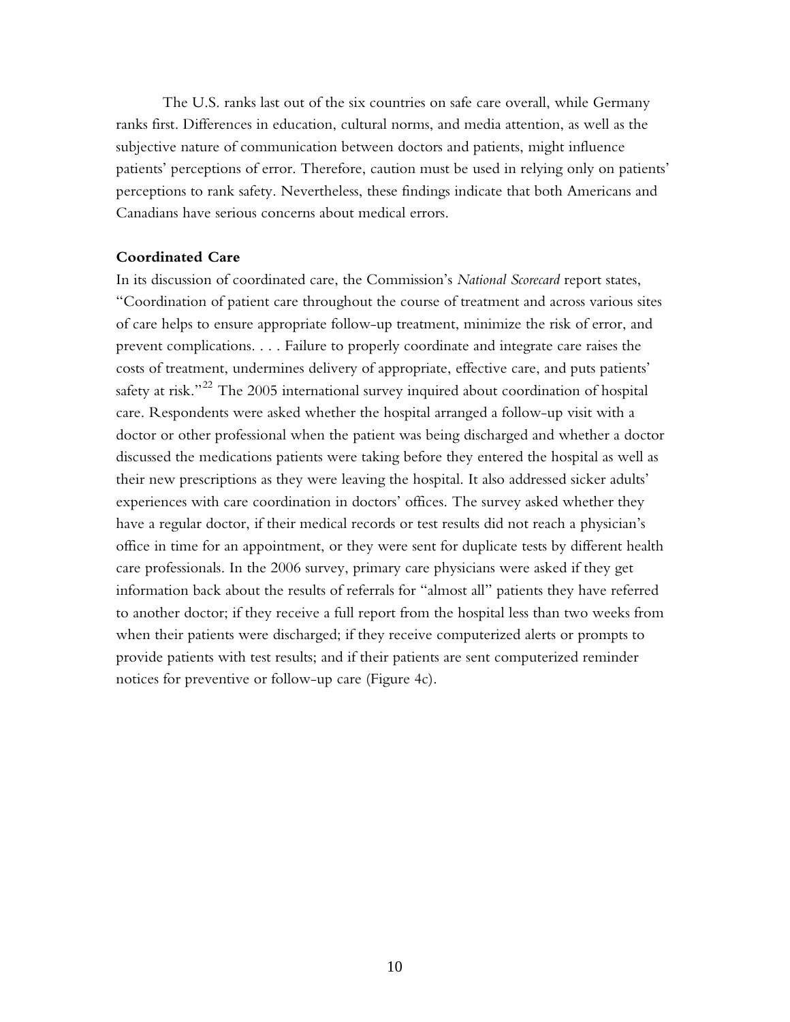The U.S. ranks last out of the six countries on safe care overall, while Germany ranks first. Differences in education, cultural norms, and media attention, as well as the subjective nature of communication between doctors and patients, might influence patients' perceptions of error. Therefore, caution must be used in relying only on patients' perceptions to rank safety. Nevertheless, these findings indicate that both Americans and Canadians have serious concerns about medical errors.

#### **Coordinated Care**

In its discussion of coordinated care, the Commission's *National Scorecard* report states, "Coordination of patient care throughout the course of treatment and across various sites of care helps to ensure appropriate follow-up treatment, minimize the risk of error, and prevent complications. . . . Failure to properly coordinate and integrate care raises the costs of treatment, undermines delivery of appropriate, effective care, and puts patients' safety at risk."<sup>22</sup> The 2005 international survey inquired about coordination of hospital care. Respondents were asked whether the hospital arranged a follow-up visit with a doctor or other professional when the patient was being discharged and whether a doctor discussed the medications patients were taking before they entered the hospital as well as their new prescriptions as they were leaving the hospital. It also addressed sicker adults' experiences with care coordination in doctors' offices. The survey asked whether they have a regular doctor, if their medical records or test results did not reach a physician's office in time for an appointment, or they were sent for duplicate tests by different health care professionals. In the 2006 survey, primary care physicians were asked if they get information back about the results of referrals for "almost all" patients they have referred to another doctor; if they receive a full report from the hospital less than two weeks from when their patients were discharged; if they receive computerized alerts or prompts to provide patients with test results; and if their patients are sent computerized reminder notices for preventive or follow-up care (Figure 4c).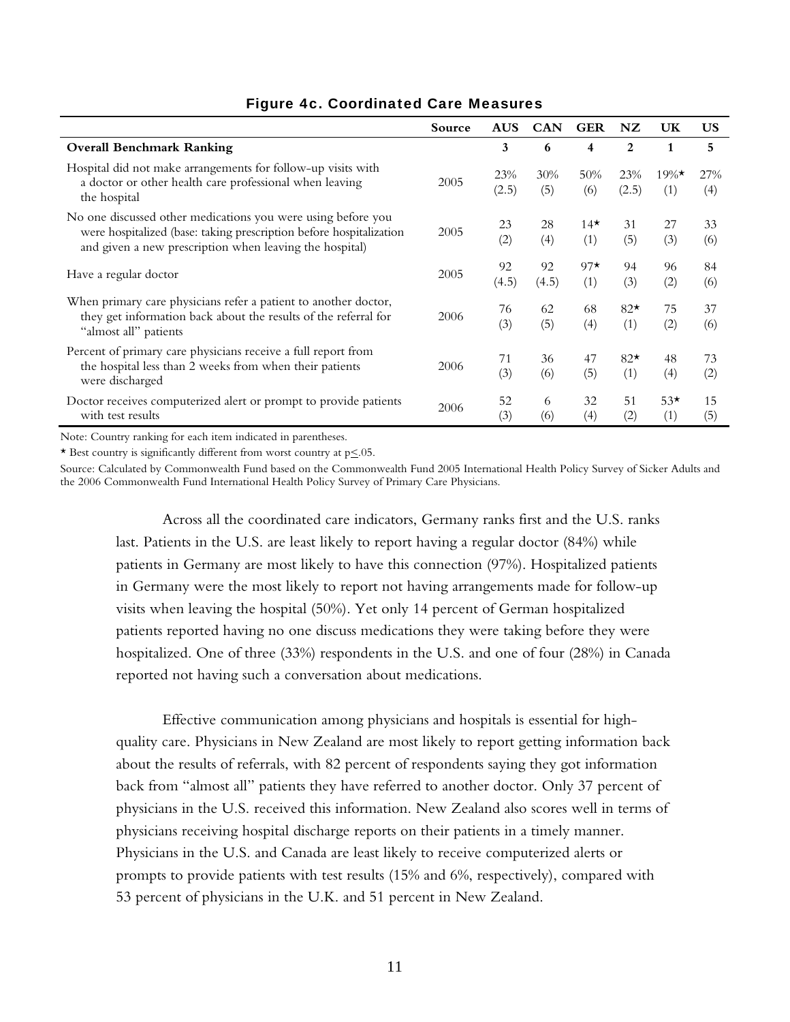|                                                                                                                                                                                                | Source | <b>AUS</b>   | <b>CAN</b>  | <b>GER</b>   | NZ           | <b>UK</b>       | <b>US</b>  |
|------------------------------------------------------------------------------------------------------------------------------------------------------------------------------------------------|--------|--------------|-------------|--------------|--------------|-----------------|------------|
| <b>Overall Benchmark Ranking</b>                                                                                                                                                               |        | 3            | 6           | 4            | 2            | 1               | 5          |
| Hospital did not make arrangements for follow-up visits with<br>a doctor or other health care professional when leaving<br>the hospital                                                        | 2005   | 23%<br>(2.5) | 30%<br>(5)  | 50%<br>(6)   | 23%<br>(2.5) | $19\%$ *<br>(1) | 27%<br>(4) |
| No one discussed other medications you were using before you<br>were hospitalized (base: taking prescription before hospitalization<br>and given a new prescription when leaving the hospital) | 2005   | 23<br>(2)    | 28<br>(4)   | $14*$<br>(1) | 31<br>(5)    | 27<br>(3)       | 33<br>(6)  |
| Have a regular doctor                                                                                                                                                                          | 2005   | 92<br>(4.5)  | 92<br>(4.5) | $97*$<br>(1) | 94<br>(3)    | 96<br>(2)       | 84<br>(6)  |
| When primary care physicians refer a patient to another doctor,<br>they get information back about the results of the referral for<br>"almost all" patients                                    | 2006   | 76<br>(3)    | 62<br>(5)   | 68<br>(4)    | $82*$<br>(1) | 75<br>(2)       | 37<br>(6)  |
| Percent of primary care physicians receive a full report from<br>the hospital less than 2 weeks from when their patients<br>were discharged                                                    | 2006   | 71<br>(3)    | 36<br>(6)   | 47<br>(5)    | $82*$<br>(1) | 48<br>(4)       | 73<br>(2)  |
| Doctor receives computerized alert or prompt to provide patients<br>with test results                                                                                                          | 2006   | 52<br>(3)    | 6<br>(6)    | 32<br>(4)    | 51<br>(2)    | $53*$<br>(1)    | 15<br>(5)  |

## Figure 4c. Coordinated Care Measures

Note: Country ranking for each item indicated in parentheses.

\* Best country is significantly different from worst country at  $p \leq 0.05$ .

Source: Calculated by Commonwealth Fund based on the Commonwealth Fund 2005 International Health Policy Survey of Sicker Adults and the 2006 Commonwealth Fund International Health Policy Survey of Primary Care Physicians.

Across all the coordinated care indicators, Germany ranks first and the U.S. ranks last. Patients in the U.S. are least likely to report having a regular doctor (84%) while patients in Germany are most likely to have this connection (97%). Hospitalized patients in Germany were the most likely to report not having arrangements made for follow-up visits when leaving the hospital (50%). Yet only 14 percent of German hospitalized patients reported having no one discuss medications they were taking before they were hospitalized. One of three (33%) respondents in the U.S. and one of four (28%) in Canada reported not having such a conversation about medications.

Effective communication among physicians and hospitals is essential for highquality care. Physicians in New Zealand are most likely to report getting information back about the results of referrals, with 82 percent of respondents saying they got information back from "almost all" patients they have referred to another doctor. Only 37 percent of physicians in the U.S. received this information. New Zealand also scores well in terms of physicians receiving hospital discharge reports on their patients in a timely manner. Physicians in the U.S. and Canada are least likely to receive computerized alerts or prompts to provide patients with test results (15% and 6%, respectively), compared with 53 percent of physicians in the U.K. and 51 percent in New Zealand.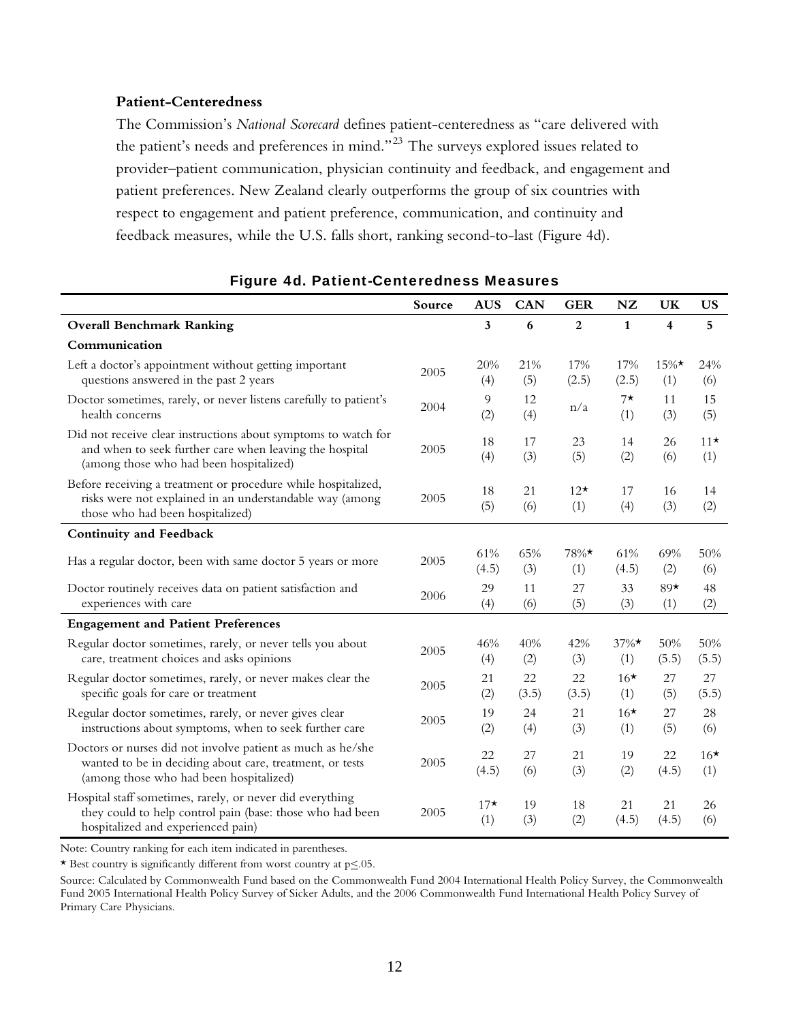### **Patient-Centeredness**

The Commission's *National Scorecard* defines patient-centeredness as "care delivered with the patient's needs and preferences in mind."<sup>23</sup> The surveys explored issues related to provider–patient communication, physician continuity and feedback, and engagement and patient preferences. New Zealand clearly outperforms the group of six countries with respect to engagement and patient preference, communication, and continuity and feedback measures, while the U.S. falls short, ranking second-to-last (Figure 4d).

|                                                                                                                                                                      | Source | <b>AUS</b>   | <b>CAN</b>  | <b>GER</b>     | <b>NZ</b>       | UK                      | US           |
|----------------------------------------------------------------------------------------------------------------------------------------------------------------------|--------|--------------|-------------|----------------|-----------------|-------------------------|--------------|
| <b>Overall Benchmark Ranking</b>                                                                                                                                     |        | 3            | 6           | $\overline{2}$ | $\mathbf{1}$    | $\overline{\mathbf{4}}$ | 5            |
| Communication                                                                                                                                                        |        |              |             |                |                 |                         |              |
| Left a doctor's appointment without getting important<br>questions answered in the past 2 years                                                                      | 2005   | 20%<br>(4)   | 21%<br>(5)  | 17%<br>(2.5)   | 17%<br>(2.5)    | $15\%$ *<br>(1)         | 24%<br>(6)   |
| Doctor sometimes, rarely, or never listens carefully to patient's<br>health concerns                                                                                 | 2004   | 9<br>(2)     | 12<br>(4)   | n/a            | $7\star$<br>(1) | 11<br>(3)               | 15<br>(5)    |
| Did not receive clear instructions about symptoms to watch for<br>and when to seek further care when leaving the hospital<br>(among those who had been hospitalized) | 2005   | 18<br>(4)    | 17<br>(3)   | 23<br>(5)      | 14<br>(2)       | 26<br>(6)               | $11*$<br>(1) |
| Before receiving a treatment or procedure while hospitalized,<br>risks were not explained in an understandable way (among<br>those who had been hospitalized)        | 2005   | 18<br>(5)    | 21<br>(6)   | $12*$<br>(1)   | 17<br>(4)       | 16<br>(3)               | 14<br>(2)    |
| <b>Continuity and Feedback</b>                                                                                                                                       |        |              |             |                |                 |                         |              |
| Has a regular doctor, been with same doctor 5 years or more                                                                                                          | 2005   | 61%<br>(4.5) | 65%<br>(3)  | 78%*<br>(1)    | 61%<br>(4.5)    | 69%<br>(2)              | 50%<br>(6)   |
| Doctor routinely receives data on patient satisfaction and<br>experiences with care                                                                                  | 2006   | 29<br>(4)    | 11<br>(6)   | 27<br>(5)      | 33<br>(3)       | $89*$<br>(1)            | 48<br>(2)    |
| <b>Engagement and Patient Preferences</b>                                                                                                                            |        |              |             |                |                 |                         |              |
| Regular doctor sometimes, rarely, or never tells you about<br>care, treatment choices and asks opinions                                                              | 2005   | 46%<br>(4)   | 40%<br>(2)  | 42%<br>(3)     | $37\%$ *<br>(1) | 50%<br>(5.5)            | 50%<br>(5.5) |
| Regular doctor sometimes, rarely, or never makes clear the<br>specific goals for care or treatment                                                                   | 2005   | 21<br>(2)    | 22<br>(3.5) | 22<br>(3.5)    | $16*$<br>(1)    | 27<br>(5)               | 27<br>(5.5)  |
| Regular doctor sometimes, rarely, or never gives clear<br>instructions about symptoms, when to seek further care                                                     | 2005   | 19<br>(2)    | 24<br>(4)   | 21<br>(3)      | $16*$<br>(1)    | 27<br>(5)               | 28<br>(6)    |
| Doctors or nurses did not involve patient as much as he/she<br>wanted to be in deciding about care, treatment, or tests<br>(among those who had been hospitalized)   | 2005   | 22<br>(4.5)  | 27<br>(6)   | 21<br>(3)      | 19<br>(2)       | 22<br>(4.5)             | $16*$<br>(1) |
| Hospital staff sometimes, rarely, or never did everything<br>they could to help control pain (base: those who had been<br>hospitalized and experienced pain)         | 2005   | $17*$<br>(1) | 19<br>(3)   | 18<br>(2)      | 21<br>(4.5)     | 21<br>(4.5)             | 26<br>(6)    |

## Figure 4d. Patient-Centeredness Measures

Note: Country ranking for each item indicated in parentheses.

\* Best country is significantly different from worst country at  $p \le 0.05$ .

Source: Calculated by Commonwealth Fund based on the Commonwealth Fund 2004 International Health Policy Survey, the Commonwealth Fund 2005 International Health Policy Survey of Sicker Adults, and the 2006 Commonwealth Fund International Health Policy Survey of Primary Care Physicians.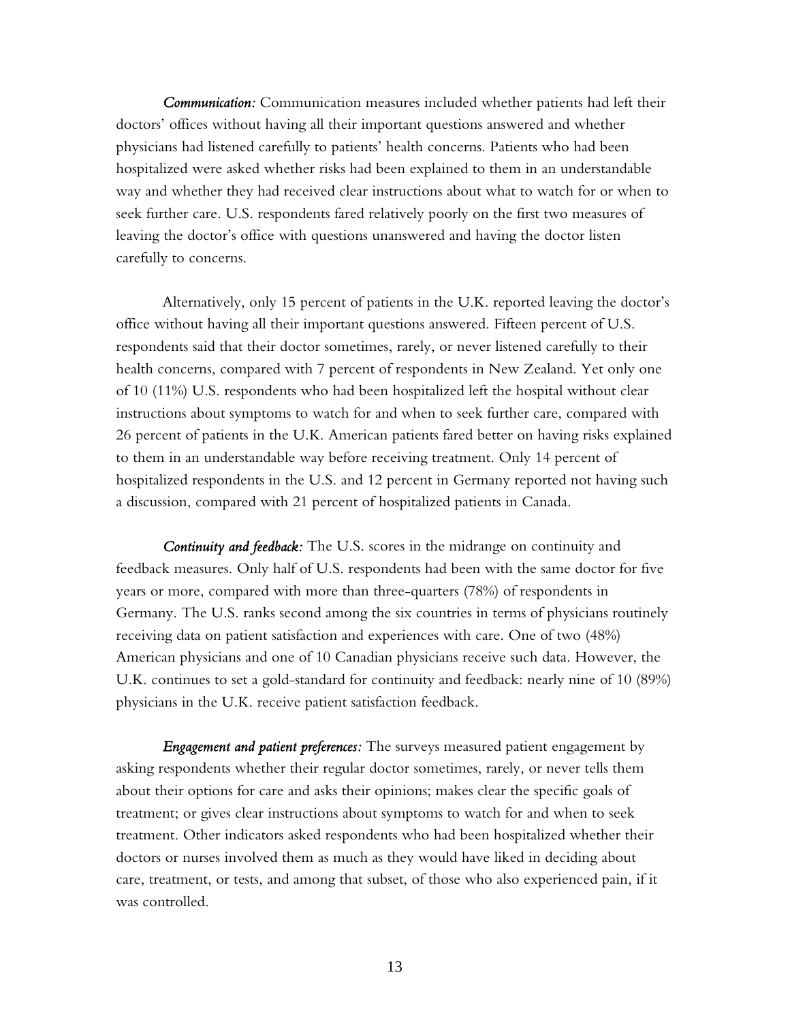*Communication:* Communication measures included whether patients had left their doctors' offices without having all their important questions answered and whether physicians had listened carefully to patients' health concerns. Patients who had been hospitalized were asked whether risks had been explained to them in an understandable way and whether they had received clear instructions about what to watch for or when to seek further care. U.S. respondents fared relatively poorly on the first two measures of leaving the doctor's office with questions unanswered and having the doctor listen carefully to concerns.

Alternatively, only 15 percent of patients in the U.K. reported leaving the doctor's office without having all their important questions answered. Fifteen percent of U.S. respondents said that their doctor sometimes, rarely, or never listened carefully to their health concerns, compared with 7 percent of respondents in New Zealand. Yet only one of 10 (11%) U.S. respondents who had been hospitalized left the hospital without clear instructions about symptoms to watch for and when to seek further care, compared with 26 percent of patients in the U.K. American patients fared better on having risks explained to them in an understandable way before receiving treatment. Only 14 percent of hospitalized respondents in the U.S. and 12 percent in Germany reported not having such a discussion, compared with 21 percent of hospitalized patients in Canada.

*Continuity and feedback:* The U.S. scores in the midrange on continuity and feedback measures. Only half of U.S. respondents had been with the same doctor for five years or more, compared with more than three-quarters (78%) of respondents in Germany. The U.S. ranks second among the six countries in terms of physicians routinely receiving data on patient satisfaction and experiences with care. One of two (48%) American physicians and one of 10 Canadian physicians receive such data. However, the U.K. continues to set a gold-standard for continuity and feedback: nearly nine of 10 (89%) physicians in the U.K. receive patient satisfaction feedback.

*Engagement and patient preferences:* The surveys measured patient engagement by asking respondents whether their regular doctor sometimes, rarely, or never tells them about their options for care and asks their opinions; makes clear the specific goals of treatment; or gives clear instructions about symptoms to watch for and when to seek treatment. Other indicators asked respondents who had been hospitalized whether their doctors or nurses involved them as much as they would have liked in deciding about care, treatment, or tests, and among that subset, of those who also experienced pain, if it was controlled.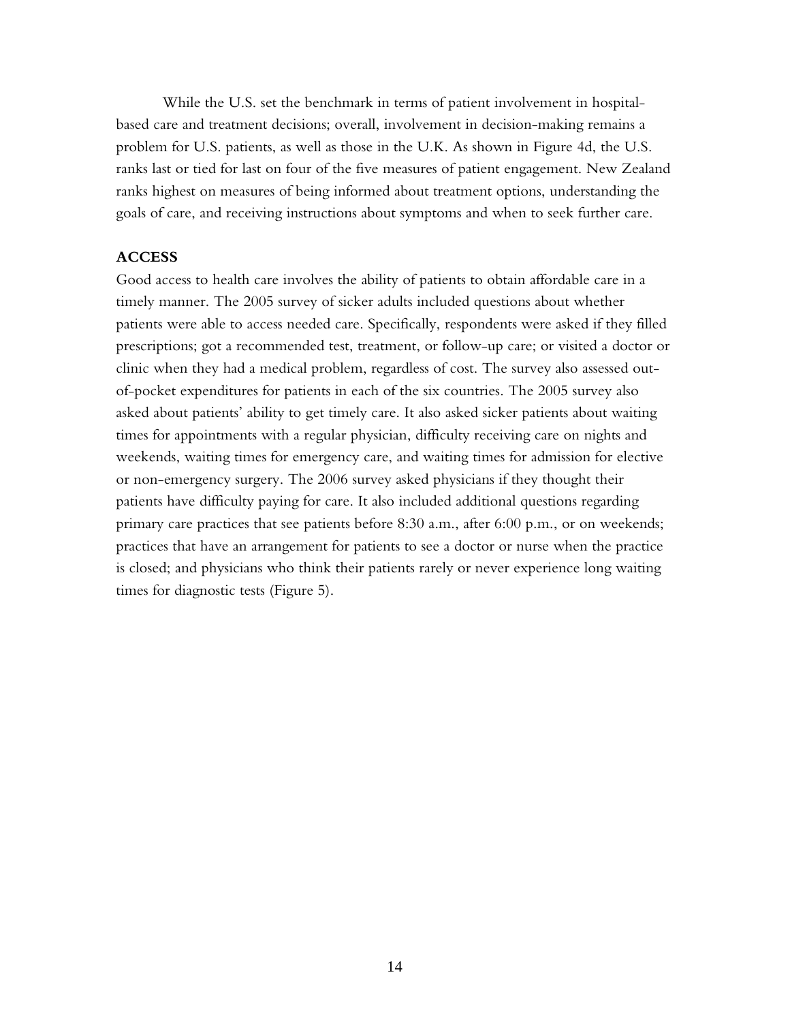While the U.S. set the benchmark in terms of patient involvement in hospitalbased care and treatment decisions; overall, involvement in decision-making remains a problem for U.S. patients, as well as those in the U.K. As shown in Figure 4d, the U.S. ranks last or tied for last on four of the five measures of patient engagement. New Zealand ranks highest on measures of being informed about treatment options, understanding the goals of care, and receiving instructions about symptoms and when to seek further care.

#### **ACCESS**

Good access to health care involves the ability of patients to obtain affordable care in a timely manner. The 2005 survey of sicker adults included questions about whether patients were able to access needed care. Specifically, respondents were asked if they filled prescriptions; got a recommended test, treatment, or follow-up care; or visited a doctor or clinic when they had a medical problem, regardless of cost. The survey also assessed outof-pocket expenditures for patients in each of the six countries. The 2005 survey also asked about patients' ability to get timely care. It also asked sicker patients about waiting times for appointments with a regular physician, difficulty receiving care on nights and weekends, waiting times for emergency care, and waiting times for admission for elective or non-emergency surgery. The 2006 survey asked physicians if they thought their patients have difficulty paying for care. It also included additional questions regarding primary care practices that see patients before 8:30 a.m., after 6:00 p.m., or on weekends; practices that have an arrangement for patients to see a doctor or nurse when the practice is closed; and physicians who think their patients rarely or never experience long waiting times for diagnostic tests (Figure 5).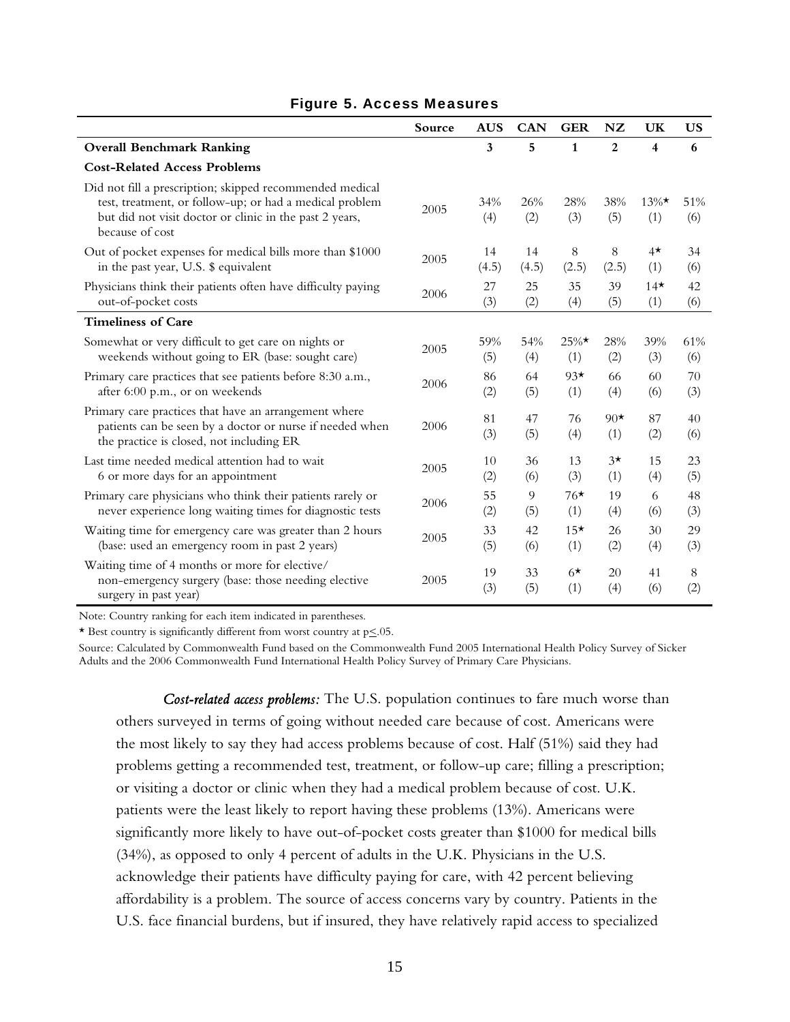|                                                                                                                                                                                                   | Source | <b>AUS</b> | CAN        | <b>GER</b>      | NZ             | UK                      | <b>US</b>  |
|---------------------------------------------------------------------------------------------------------------------------------------------------------------------------------------------------|--------|------------|------------|-----------------|----------------|-------------------------|------------|
| <b>Overall Benchmark Ranking</b>                                                                                                                                                                  |        | 3          | 5          | $\mathbf{1}$    | $\overline{2}$ | $\overline{\mathbf{4}}$ | 6          |
| <b>Cost-Related Access Problems</b>                                                                                                                                                               |        |            |            |                 |                |                         |            |
| Did not fill a prescription; skipped recommended medical<br>test, treatment, or follow-up; or had a medical problem<br>but did not visit doctor or clinic in the past 2 years,<br>because of cost | 2005   | 34%<br>(4) | 26%<br>(2) | 28%<br>(3)      | 38%<br>(5)     | $13\%$ *<br>(1)         | 51%<br>(6) |
| Out of pocket expenses for medical bills more than \$1000                                                                                                                                         | 2005   | 14         | 14         | 8               | 8              | $4\star$                | 34         |
| in the past year, U.S. \$ equivalent                                                                                                                                                              |        | (4.5)      | (4.5)      | (2.5)           | (2.5)          | (1)                     | (6)        |
| Physicians think their patients often have difficulty paying                                                                                                                                      | 2006   | 27         | 25         | 35              | 39             | $14*$                   | 42         |
| out-of-pocket costs                                                                                                                                                                               |        | (3)        | (2)        | (4)             | (5)            | (1)                     | (6)        |
| <b>Timeliness of Care</b>                                                                                                                                                                         |        |            |            |                 |                |                         |            |
| Somewhat or very difficult to get care on nights or                                                                                                                                               | 2005   | 59%        | 54%        | $25\%$ *        | 28%            | 39%                     | 61%        |
| weekends without going to ER (base: sought care)                                                                                                                                                  |        | (5)        | (4)        | (1)             | (2)            | (3)                     | (6)        |
| Primary care practices that see patients before 8:30 a.m.,                                                                                                                                        | 2006   | 86         | 64         | $93*$           | 66             | 60                      | 70         |
| after 6:00 p.m., or on weekends                                                                                                                                                                   |        | (2)        | (5)        | (1)             | (4)            | (6)                     | (3)        |
| Primary care practices that have an arrangement where<br>patients can be seen by a doctor or nurse if needed when<br>the practice is closed, not including ER                                     | 2006   | 81<br>(3)  | 47<br>(5)  | 76<br>(4)       | $90*$<br>(1)   | 87<br>(2)               | 40<br>(6)  |
| Last time needed medical attention had to wait                                                                                                                                                    | 2005   | 10         | 36         | 13              | $3\star$       | 15                      | 23         |
| 6 or more days for an appointment                                                                                                                                                                 |        | (2)        | (6)        | (3)             | (1)            | (4)                     | (5)        |
| Primary care physicians who think their patients rarely or                                                                                                                                        | 2006   | 55         | 9          | $76*$           | 19             | 6                       | 48         |
| never experience long waiting times for diagnostic tests                                                                                                                                          |        | (2)        | (5)        | (1)             | (4)            | (6)                     | (3)        |
| Waiting time for emergency care was greater than 2 hours                                                                                                                                          | 2005   | 33         | 42         | $15*$           | 26             | 30                      | 29         |
| (base: used an emergency room in past 2 years)                                                                                                                                                    |        | (5)        | (6)        | (1)             | (2)            | (4)                     | (3)        |
| Waiting time of 4 months or more for elective/<br>non-emergency surgery (base: those needing elective<br>surgery in past year)                                                                    | 2005   | 19<br>(3)  | 33<br>(5)  | $6\star$<br>(1) | 20<br>(4)      | 41<br>(6)               | 8<br>(2)   |

#### Figure 5. Access Measures

Note: Country ranking for each item indicated in parentheses.

\* Best country is significantly different from worst country at  $p \leq 0.05$ .

Source: Calculated by Commonwealth Fund based on the Commonwealth Fund 2005 International Health Policy Survey of Sicker Adults and the 2006 Commonwealth Fund International Health Policy Survey of Primary Care Physicians.

*Cost-related access problems:* The U.S. population continues to fare much worse than others surveyed in terms of going without needed care because of cost. Americans were the most likely to say they had access problems because of cost. Half (51%) said they had problems getting a recommended test, treatment, or follow-up care; filling a prescription; or visiting a doctor or clinic when they had a medical problem because of cost. U.K. patients were the least likely to report having these problems (13%). Americans were significantly more likely to have out-of-pocket costs greater than \$1000 for medical bills (34%), as opposed to only 4 percent of adults in the U.K. Physicians in the U.S. acknowledge their patients have difficulty paying for care, with 42 percent believing affordability is a problem. The source of access concerns vary by country. Patients in the U.S. face financial burdens, but if insured, they have relatively rapid access to specialized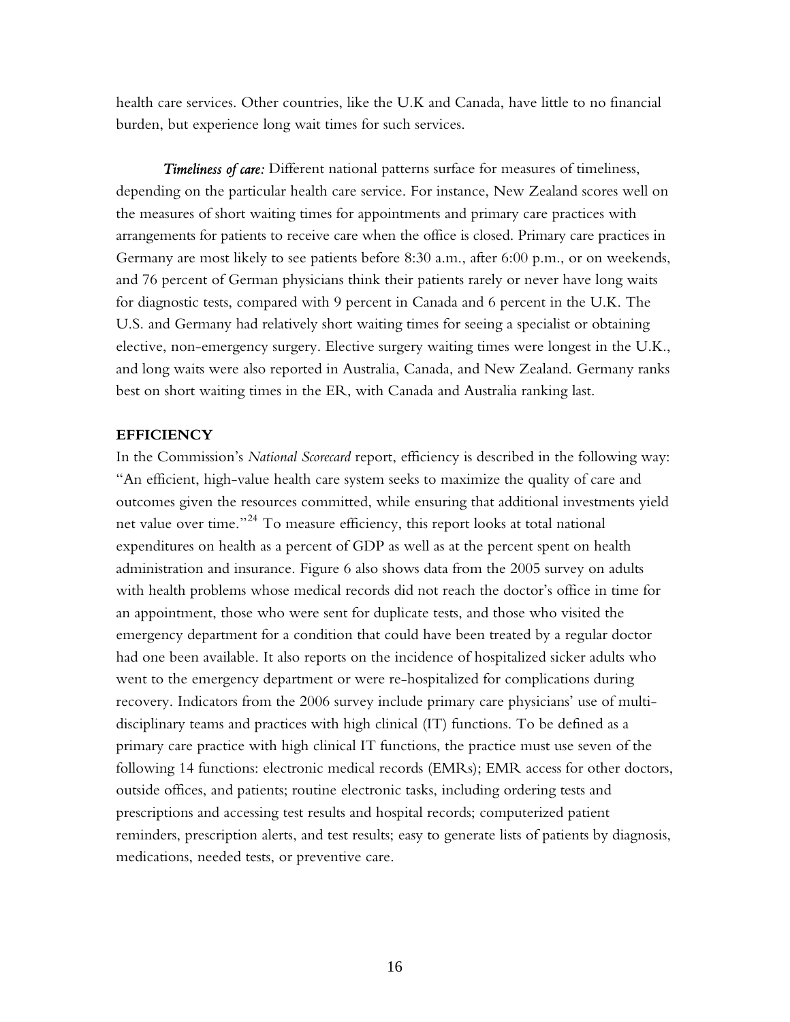health care services. Other countries, like the U.K and Canada, have little to no financial burden, but experience long wait times for such services.

*Timeliness of care:* Different national patterns surface for measures of timeliness, depending on the particular health care service. For instance, New Zealand scores well on the measures of short waiting times for appointments and primary care practices with arrangements for patients to receive care when the office is closed. Primary care practices in Germany are most likely to see patients before 8:30 a.m., after 6:00 p.m., or on weekends, and 76 percent of German physicians think their patients rarely or never have long waits for diagnostic tests, compared with 9 percent in Canada and 6 percent in the U.K. The U.S. and Germany had relatively short waiting times for seeing a specialist or obtaining elective, non-emergency surgery. Elective surgery waiting times were longest in the U.K., and long waits were also reported in Australia, Canada, and New Zealand. Germany ranks best on short waiting times in the ER, with Canada and Australia ranking last.

#### **EFFICIENCY**

In the Commission's *National Scorecard* report, efficiency is described in the following way: "An efficient, high-value health care system seeks to maximize the quality of care and outcomes given the resources committed, while ensuring that additional investments yield net value over time."<sup>24</sup> To measure efficiency, this report looks at total national expenditures on health as a percent of GDP as well as at the percent spent on health administration and insurance. Figure 6 also shows data from the 2005 survey on adults with health problems whose medical records did not reach the doctor's office in time for an appointment, those who were sent for duplicate tests, and those who visited the emergency department for a condition that could have been treated by a regular doctor had one been available. It also reports on the incidence of hospitalized sicker adults who went to the emergency department or were re-hospitalized for complications during recovery. Indicators from the 2006 survey include primary care physicians' use of multidisciplinary teams and practices with high clinical (IT) functions. To be defined as a primary care practice with high clinical IT functions, the practice must use seven of the following 14 functions: electronic medical records (EMRs); EMR access for other doctors, outside offices, and patients; routine electronic tasks, including ordering tests and prescriptions and accessing test results and hospital records; computerized patient reminders, prescription alerts, and test results; easy to generate lists of patients by diagnosis, medications, needed tests, or preventive care.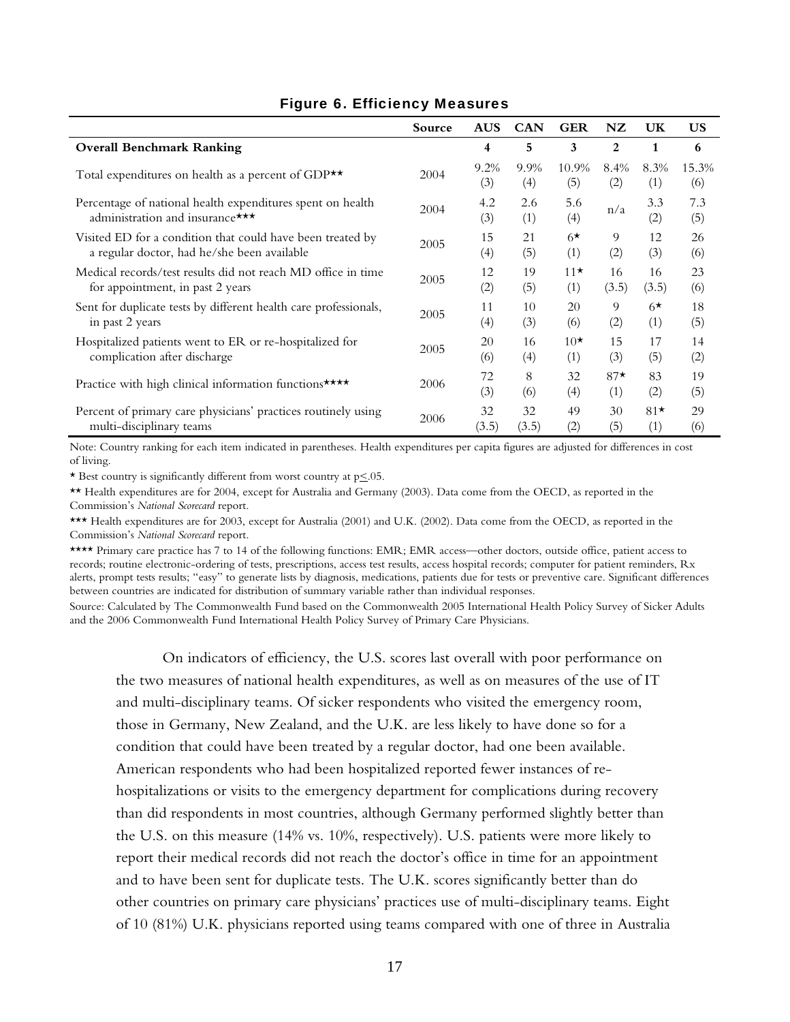|                                                                                               | Source | <b>AUS</b>  | <b>CAN</b>  | <b>GER</b>   | NZ           | UK          | <b>US</b>    |
|-----------------------------------------------------------------------------------------------|--------|-------------|-------------|--------------|--------------|-------------|--------------|
| <b>Overall Benchmark Ranking</b>                                                              |        | 4           | 5           | 3            | $\mathbf{2}$ | 1           | 6            |
| Total expenditures on health as a percent of GDP $\star\star$                                 | 2004   | 9.2%<br>(3) | 9.9%<br>(4) | 10.9%<br>(5) | 8.4%<br>(2)  | 8.3%<br>(1) | 15.3%<br>(6) |
| Percentage of national health expenditures spent on health<br>administration and insurance*** | 2004   | 4.2<br>(3)  | 2.6<br>(1)  | 5.6<br>(4)   | n/a          | 3.3<br>(2)  | 7.3<br>(5)   |
| Visited ED for a condition that could have been treated by                                    | 2005   | 15          | 21          | $6*$         | 9            | 12          | 26           |
| a regular doctor, had he/she been available                                                   |        | (4)         | (5)         | (1)          | (2)          | (3)         | (6)          |
| Medical records/test results did not reach MD office in time                                  | 2005   | 12          | 19          | $11*$        | 16           | 16          | 23           |
| for appointment, in past 2 years                                                              |        | (2)         | (5)         | (1)          | (3.5)        | (3.5)       | (6)          |
| Sent for duplicate tests by different health care professionals,                              | 2005   | 11          | 10          | 20           | 9            | $6\star$    | 18           |
| in past 2 years                                                                               |        | (4)         | (3)         | (6)          | (2)          | (1)         | (5)          |
| Hospitalized patients went to ER or re-hospitalized for                                       | 2005   | 20          | 16          | $10*$        | 15           | 17          | 14           |
| complication after discharge                                                                  |        | (6)         | (4)         | (1)          | (3)          | (5)         | (2)          |
| Practice with high clinical information functions ****                                        | 2006   | 72<br>(3)   | 8<br>(6)    | 32<br>(4)    | $87*$<br>(1) | 83<br>(2)   | 19<br>(5)    |
| Percent of primary care physicians' practices routinely using                                 | 2006   | 32          | 32          | 49           | 30           | $81*$       | 29           |
| multi-disciplinary teams                                                                      |        | (3.5)       | (3.5)       | (2)          | (5)          | (1)         | (6)          |

## Figure 6. Efficiency Measures

Note: Country ranking for each item indicated in parentheses. Health expenditures per capita figures are adjusted for differences in cost of living.

\* Best country is significantly different from worst country at  $p \leq 0.05$ .

\*\* Health expenditures are for 2004, except for Australia and Germany (2003). Data come from the OECD, as reported in the Commission's *National Scorecard* report.

\*\*\* Health expenditures are for 2003, except for Australia (2001) and U.K. (2002). Data come from the OECD, as reported in the Commission's *National Scorecard* report.

\*\*\*\* Primary care practice has 7 to 14 of the following functions: EMR; EMR access—other doctors, outside office, patient access to records; routine electronic-ordering of tests, prescriptions, access test results, access hospital records; computer for patient reminders, Rx alerts, prompt tests results; "easy" to generate lists by diagnosis, medications, patients due for tests or preventive care. Significant differences between countries are indicated for distribution of summary variable rather than individual responses.

Source: Calculated by The Commonwealth Fund based on the Commonwealth 2005 International Health Policy Survey of Sicker Adults and the 2006 Commonwealth Fund International Health Policy Survey of Primary Care Physicians.

On indicators of efficiency, the U.S. scores last overall with poor performance on the two measures of national health expenditures, as well as on measures of the use of IT and multi-disciplinary teams. Of sicker respondents who visited the emergency room, those in Germany, New Zealand, and the U.K. are less likely to have done so for a condition that could have been treated by a regular doctor, had one been available. American respondents who had been hospitalized reported fewer instances of rehospitalizations or visits to the emergency department for complications during recovery than did respondents in most countries, although Germany performed slightly better than the U.S. on this measure (14% vs. 10%, respectively). U.S. patients were more likely to report their medical records did not reach the doctor's office in time for an appointment and to have been sent for duplicate tests. The U.K. scores significantly better than do other countries on primary care physicians' practices use of multi-disciplinary teams. Eight of 10 (81%) U.K. physicians reported using teams compared with one of three in Australia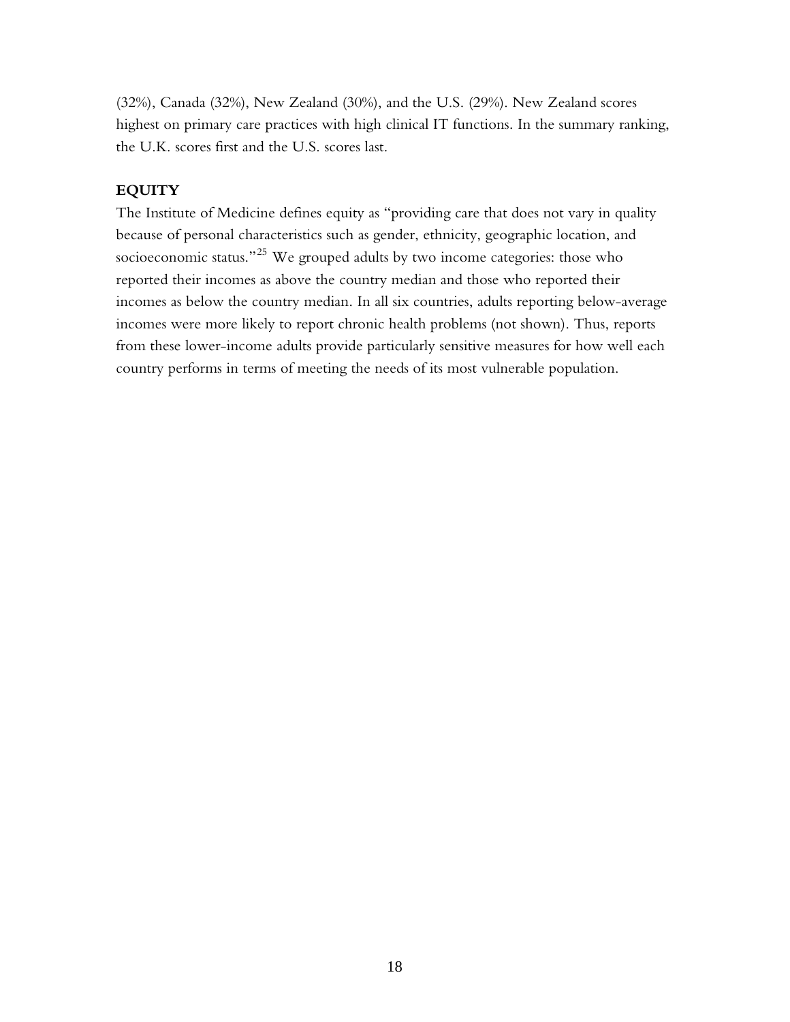(32%), Canada (32%), New Zealand (30%), and the U.S. (29%). New Zealand scores highest on primary care practices with high clinical IT functions. In the summary ranking, the U.K. scores first and the U.S. scores last.

## **EQUITY**

The Institute of Medicine defines equity as "providing care that does not vary in quality because of personal characteristics such as gender, ethnicity, geographic location, and socioeconomic status."<sup>25</sup> We grouped adults by two income categories: those who reported their incomes as above the country median and those who reported their incomes as below the country median. In all six countries, adults reporting below-average incomes were more likely to report chronic health problems (not shown). Thus, reports from these lower-income adults provide particularly sensitive measures for how well each country performs in terms of meeting the needs of its most vulnerable population.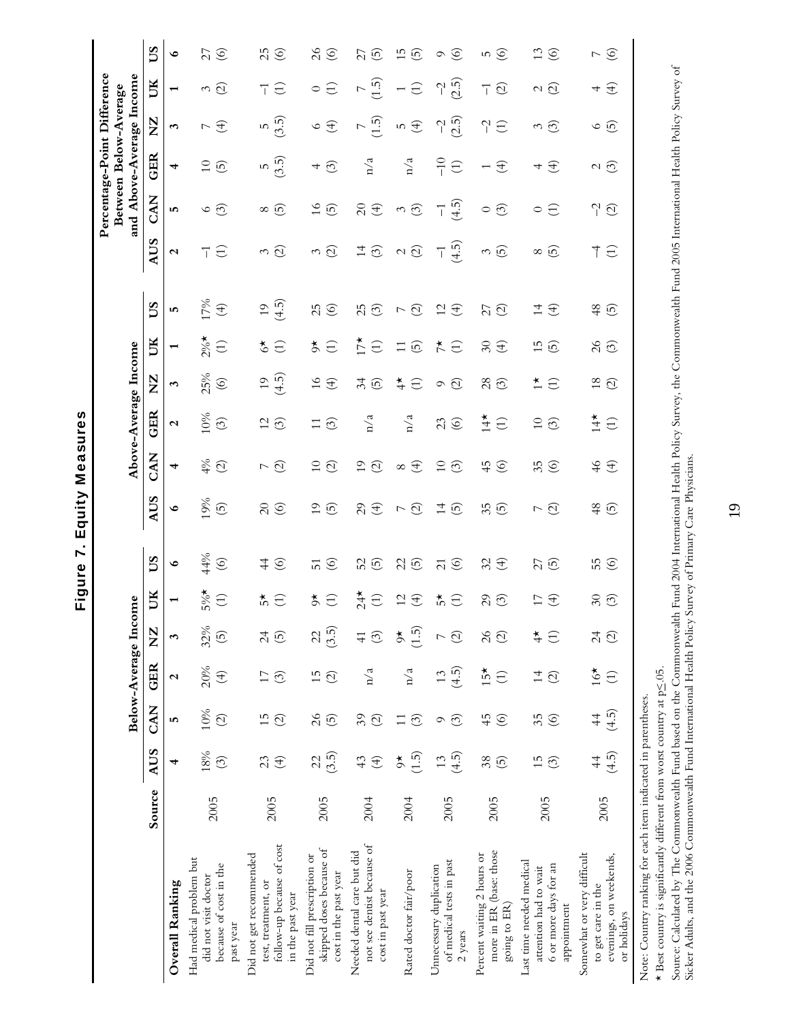|                                                                                                 |        |                             |                           | Below-Average Income                      |                                           |                                |                                   |                                                     |                                      | Above-Average Income       |                                               |                                                  |                                                      |                           |                                    | Percentage-Point Difference<br>and Above-Average Income<br>Between Below-Average |                                         |                                                                   |                            |
|-------------------------------------------------------------------------------------------------|--------|-----------------------------|---------------------------|-------------------------------------------|-------------------------------------------|--------------------------------|-----------------------------------|-----------------------------------------------------|--------------------------------------|----------------------------|-----------------------------------------------|--------------------------------------------------|------------------------------------------------------|---------------------------|------------------------------------|----------------------------------------------------------------------------------|-----------------------------------------|-------------------------------------------------------------------|----------------------------|
|                                                                                                 | Source | <b>AUS</b>                  | CAN                       | GER                                       | $\sum_{i=1}^{n}$                          | UК                             | SQ                                | <b>AUS</b>                                          | CAN                                  | GER                        | $\Sigma$                                      | UК                                               | SU                                                   | <b>AUS</b>                | <b>CAN</b>                         | GER                                                                              | $\Sigma$                                | UК                                                                | SQ                         |
| Overall Ranking                                                                                 |        | 4                           | 5                         | $\mathbf{\Omega}$                         | 3                                         | $\overline{ }$                 | $\bullet$                         | $\bullet$                                           | 4                                    | $\mathbf{\Omega}$          | 3                                             | $\overline{ }$                                   | 5                                                    | $\mathbf{\Omega}$         | 5                                  | 4                                                                                | 3                                       | $\mathbf{\mathbf{t}}$                                             | $\bullet$                  |
| Had medical problem but<br>because of cost in the<br>did not visit doctor<br>past year          | 2005   | 18%<br>$\odot$              | 10%<br>$\widehat{\odot}$  | 20%<br>$\bigoplus$                        | 32%<br>$\widetilde{\Theta}$               | $5\%*$<br>$\bigoplus$          | 44%<br>$\circledcirc$             | 19%<br>$\widetilde{5}$                              | 4%<br>$\odot$                        | 10%<br>$\odot$             | 25%<br>$\copyright$                           | $2\%$<br>$\bigoplus$                             | 17%<br>$\bigoplus$                                   | $\bigoplus$<br>ℸ          | $\circ$ $\circ$                    | $\overline{0}$<br>$\odot$                                                        | $\bigoplus$<br>$\overline{\phantom{0}}$ | $\widehat{\varpi}$<br>3                                           | 27<br>$\circledcirc$       |
| follow-up because of cost<br>Did not get recommended<br>test, treatment, or<br>in the past year | 2005   | 23<br>$\bigoplus$           | 15<br>$\odot$             | $\Box$<br>$\odot$                         | $\overline{c}$<br>$\overline{5}$          | ₹5<br>$\bigoplus$              | $\frac{4}{4}$<br>$\circledcirc$   | $\Omega$<br>$\odot$                                 | $\odot$<br>$\overline{\phantom{a}}$  | $\overline{c}$<br>$\odot$  | (4.5)<br>$\overline{1}$                       | $\zeta^{\star}$<br>$\bigoplus$                   | (4.5)<br>$\overline{1}$                              | $\widehat{\Omega}$<br>3   | $\infty$ $\infty$                  | (3.5)<br>$\overline{5}$                                                          | (3.5)<br>S                              | $\bigoplus$<br>$\overline{\top}$                                  | 25<br>$\circledcirc$       |
| skipped doses because of<br>Did not fill prescription or<br>cost in the past year               | 2005   | (3.5)<br>22                 | $\delta$<br>$\widehat{5}$ | 15<br>$\widehat{\odot}$                   | (3.5)<br>23                               | $\breve{\circ}$<br>$\bigoplus$ | $\circledcirc$<br>$\overline{51}$ | $\overline{0}$<br>$\widehat{5}$                     | $\overline{10}$<br>$\odot$           | <u>ි</u><br>$\Xi$          | $\frac{6}{1}$<br>E                            | $\breve{\circ}$<br>$\bigoplus$                   | 25<br>$\odot$                                        | $\widehat{\Omega}$<br>3   | $\frac{6}{1}$<br>$\widehat{5}$     | $\odot$<br>4                                                                     | $\bigoplus$<br>$\circ$                  | $\bigoplus$<br>$\circ$                                            | $\delta$<br>$\circledcirc$ |
| not see dentist because of<br>Needed dental care but did<br>cost in past year                   | 2004   | 43<br>$\bigoplus$           | 39<br>$\widehat{\Omega}$  | n/a                                       | $\odot$<br>$\frac{1}{4}$                  | 24<br>$\bigoplus$              | 52<br><u>ලි</u>                   | $\mathcal{L}^{\mathcal{O}}$<br>$\bigoplus$          | $\overline{1}$<br>$\widehat{\Omega}$ | n/a                        | 34<br><u>ලි</u>                               | $17*$<br>$\bigoplus$                             | 25<br>$\odot$                                        | $\overline{1}$<br>$\odot$ | $\overline{\Omega}$<br>$\bigoplus$ | n/a                                                                              | (1.5)<br>$\overline{ }$                 | $\overline{1.5}$<br>$\mathord{\hspace{1pt}\text{--}\hspace{1pt}}$ | 27<br><u>ල</u>             |
| Rated doctor fair/poor                                                                          | 2004   | (1.5)<br>$\breve{\sigma}$   | $\odot$<br>$\Xi$          | n/a                                       | (1.5)<br>$\breve{\phi}$                   | $\Xi\,\Xi$                     | 25                                | $\widehat{\varnothing}$<br>$\overline{\phantom{m}}$ | $\bigoplus$<br>$\infty$              | n/a                        | $\ddot{ }$<br>$\bigoplus$                     | $\Xi$<br>$\odot$                                 | $\widehat{\mathfrak{O}}$<br>$\overline{\phantom{0}}$ | $\omega\odot$             | $\frac{3}{2}$                      | n/a                                                                              | $\bigoplus$<br>5                        | $\bigoplus$                                                       | 15<br>$\odot$              |
| of medical tests in past<br>Unnecessary duplication<br>2 years                                  | 2005   | (4.5)<br>13                 | $\odot$<br>Q              | (4.5)<br>13                               | $\odot$<br>$\overline{ }$                 | ₹,<br>$\bigoplus$              | $\overline{c}$<br>$\circledcirc$  | $\overline{1}$<br>$\widehat{5}$                     | $\overline{10}$<br>$\widetilde{C}$   | 23<br>$\circledcirc$       | $\odot$<br>$\circ$                            | $\stackrel{\star}{\mathsf{\sim}}$<br>$\bigoplus$ | $\overline{c}$<br>$\bigoplus$                        | (4.5)<br>$\overline{1}$   | (4.5)<br>$\overline{1}$            | $-10$<br>$\bigoplus$                                                             | (2.5)<br>$\gamma$                       | (2.5)<br>$\gamma$                                                 | $\circledcirc$<br>$\circ$  |
| more in ER (base: those<br>Percent waiting 2 hours or<br>going to ER)                           | 2005   | 38<br>$\widetilde{5}$       | 45<br>$\circledcirc$      | $15*$<br>$\bigoplus$                      | $\beta$<br>$\widehat{\odot}$              | 29<br>$\odot$                  | $39 +$                            | 35<br>$\widehat{5}$                                 | 45<br>$\odot$                        | $\ddot{4}$<br>$\bigoplus$  | 28<br>$\odot$                                 | $\delta$ <sup>O</sup><br>$\bigoplus$             | 27<br>$\widehat{\mathcal{Q}}$                        | $\frac{3}{5}$             | $\odot$<br>$\circ$                 | $\bigoplus$<br>$\overline{\phantom{0}}$                                          | $\gamma$<br>$\bigoplus$                 | $\overline{\phantom{a}}$ ( $\overline{\phantom{a}}$               | n ©                        |
| Last time needed medical<br>6 or more days for an<br>attention had to wait<br>appointment       | 2005   | $\overline{15}$<br><u>ි</u> | 35<br>$\circledcirc$      | $\overline{1}$<br>$\widehat{\mathcal{O}}$ | $\ddagger$<br>$\bigoplus$                 | 17<br>$\bigoplus$              | 27<br>$\widehat{5}$               | $\widehat{\omega}$<br>$\overline{\phantom{a}}$      | 35                                   | $\overline{10}$<br>$\odot$ | $\stackrel{\star}{\leftarrow}$<br>$\bigoplus$ | $\overline{1}$<br>$\widetilde{5}$                | $\overline{1}$<br>E                                  | <u>ල</u><br>$\infty$      | $\circ$ $\ominus$                  | $\bigoplus$<br>4                                                                 | $\odot$<br>3                            | $\alpha$ $\widehat{\omega}$                                       | 13<br>$\circledcirc$       |
| Somewhat or very difficult<br>evenings, on weekends,<br>to get care in the<br>or holidays       | 2005   | (4.5)<br>$\overline{4}$     | (4.5)<br>$\frac{4}{4}$    | $16*$<br>$\bigoplus$                      | $\overline{c}$<br>$\widehat{\mathcal{O}}$ | $30\,$<br>$\odot$              | 55<br>$\circledcirc$              | 48<br>$\widehat{\mathfrak{G}}$                      | $\frac{9}{4}$<br>$\bigoplus$         | $14*$<br>$\bigoplus$       | $\frac{8}{18}$<br>$\widehat{\Omega}$          | 26                                               | $48$ (5)                                             | $\uparrow \Xi$            | $\gamma \odot$                     | $\alpha$ $\odot$                                                                 | <u>ဖေ</u>                               | $4 \hat{ }$                                                       | $\sim$ $\odot$             |

Figure 7. Equity Measures Figure 7. Equity Measures

> Note: Country ranking for each item indicated in parentheses. Note: Country ranking for each item indicated in parentheses.

 $\star$  Best country is significantly different from worst country at p<br/>  $\leq .05.$  $\star$  Best country is significantly different from worst country at p $\leq 05$ .

Source: Calculated by The Commonwealth Fund based on the Commonwealth Fund 2004 International Health Policy Survey, the Commonwealth Fund 2005 International Health Policy Survey of<br>Sicker Adults, and the 2006 Commonwealth Source: Calculated by The Commonwealth Fund based on the Commonwealth Fund 2004 International Health Policy Survey, the Commonwealth Fund 2005 International Health Policy Survey of Sicker Adults, and the 2006 Commonwealth Fund International Health Policy Survey of Primary Care Physicians.

19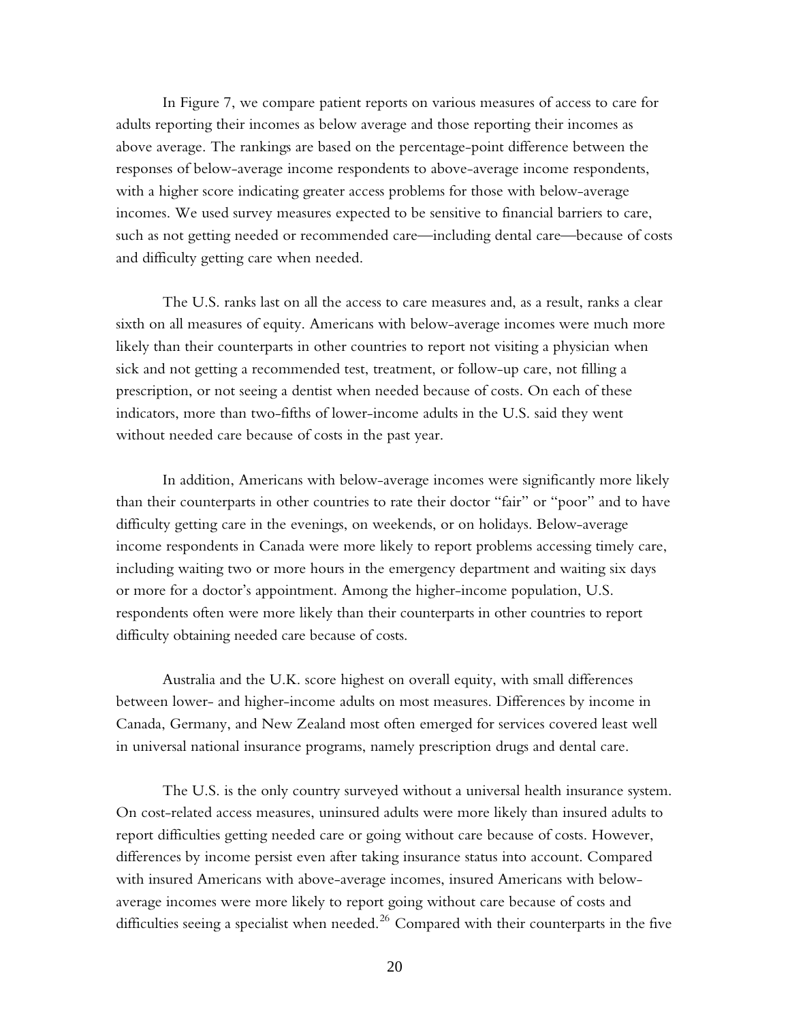In Figure 7, we compare patient reports on various measures of access to care for adults reporting their incomes as below average and those reporting their incomes as above average. The rankings are based on the percentage-point difference between the responses of below-average income respondents to above-average income respondents, with a higher score indicating greater access problems for those with below-average incomes. We used survey measures expected to be sensitive to financial barriers to care, such as not getting needed or recommended care—including dental care—because of costs and difficulty getting care when needed.

The U.S. ranks last on all the access to care measures and, as a result, ranks a clear sixth on all measures of equity. Americans with below-average incomes were much more likely than their counterparts in other countries to report not visiting a physician when sick and not getting a recommended test, treatment, or follow-up care, not filling a prescription, or not seeing a dentist when needed because of costs. On each of these indicators, more than two-fifths of lower-income adults in the U.S. said they went without needed care because of costs in the past year.

In addition, Americans with below-average incomes were significantly more likely than their counterparts in other countries to rate their doctor "fair" or "poor" and to have difficulty getting care in the evenings, on weekends, or on holidays. Below-average income respondents in Canada were more likely to report problems accessing timely care, including waiting two or more hours in the emergency department and waiting six days or more for a doctor's appointment. Among the higher-income population, U.S. respondents often were more likely than their counterparts in other countries to report difficulty obtaining needed care because of costs.

Australia and the U.K. score highest on overall equity, with small differences between lower- and higher-income adults on most measures. Differences by income in Canada, Germany, and New Zealand most often emerged for services covered least well in universal national insurance programs, namely prescription drugs and dental care.

The U.S. is the only country surveyed without a universal health insurance system. On cost-related access measures, uninsured adults were more likely than insured adults to report difficulties getting needed care or going without care because of costs. However, differences by income persist even after taking insurance status into account. Compared with insured Americans with above-average incomes, insured Americans with belowaverage incomes were more likely to report going without care because of costs and difficulties seeing a specialist when needed. $^{26}$  Compared with their counterparts in the five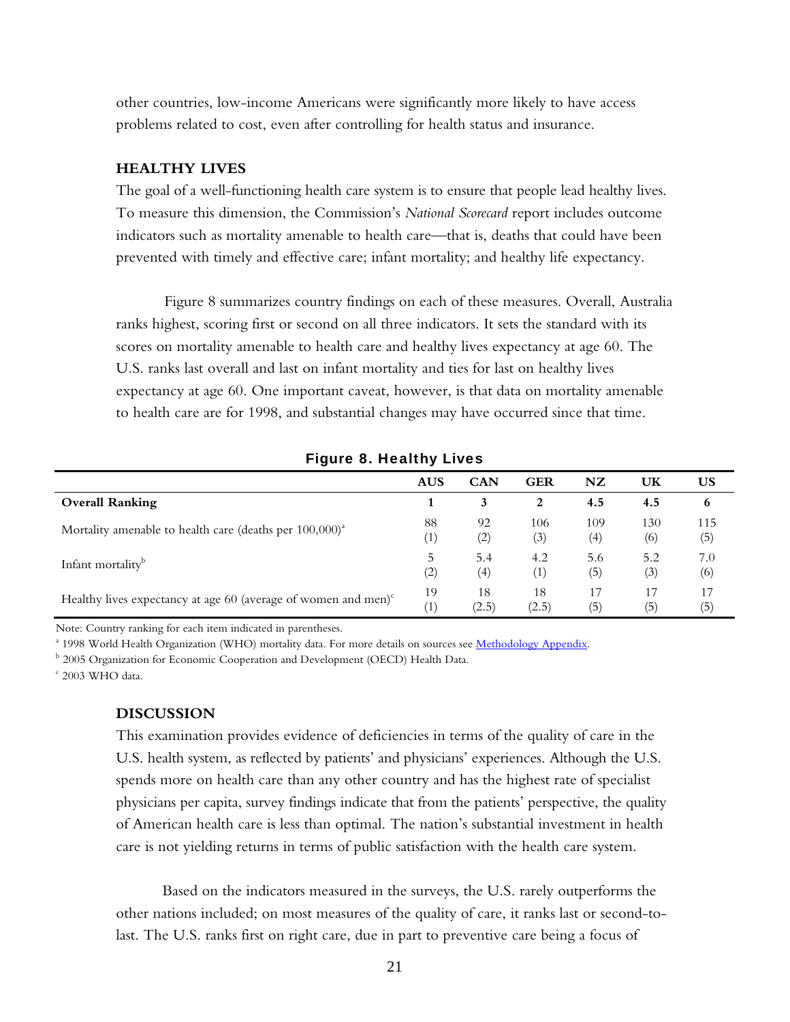other countries, low-income Americans were significantly more likely to have access problems related to cost, even after controlling for health status and insurance.

#### **HEALTHY LIVES**

The goal of a well-functioning health care system is to ensure that people lead healthy lives. To measure this dimension, the Commission's *National Scorecard* report includes outcome indicators such as mortality amenable to health care—that is, deaths that could have been prevented with timely and effective care; infant mortality; and healthy life expectancy.

Figure 8 summarizes country findings on each of these measures. Overall, Australia ranks highest, scoring first or second on all three indicators. It sets the standard with its scores on mortality amenable to health care and healthy lives expectancy at age 60. The U.S. ranks last overall and last on infant mortality and ties for last on healthy lives expectancy at age 60. One important caveat, however, is that data on mortality amenable to health care are for 1998, and substantial changes may have occurred since that time.

|                                                                          | <b>AUS</b>        | <b>CAN</b>       | <b>GER</b> | NZ  | UK  | US                |
|--------------------------------------------------------------------------|-------------------|------------------|------------|-----|-----|-------------------|
| <b>Overall Ranking</b>                                                   |                   | 3                | 2          | 4.5 | 4.5 | 6                 |
| Mortality amenable to health care (deaths per $100,000$ ) <sup>a</sup>   | 88                | 92               | 106        | 109 | 130 | 115               |
|                                                                          | (1)               | (2)              | (3)        | (4) | (6) | (5)               |
| Infant mortality <sup>b</sup>                                            | 5.                | 5.4              | 4.2        | 5.6 | 5.2 | 7.0               |
|                                                                          | $\left( 2\right)$ | $\left(4\right)$ | (1)        | (5) | (3) | (6)               |
| Healthy lives expectancy at age 60 (average of women and men) $\epsilon$ | 19                | 18               | 18         | 17  | 17  | 17                |
|                                                                          | (1)               | (2.5)            | (2.5)      | (5) | (5) | $\left( 5\right)$ |

Figure 8. Healthy Lives

Note: Country ranking for each item indicated in parentheses.

<sup>a</sup> 1998 World Health Organization (WHO) mortality data. For more details on sources see <u>Methodology Appendix</u>.<br><sup>b</sup> 2005 Organization for Economic Cooperation and Development (OECD) Health Deta

<sup>b</sup> 2005 Organization for Economic Cooperation and Development (OECD) Health Data.

 $c$  2003 WHO data.

#### **DISCUSSION**

This examination provides evidence of deficiencies in terms of the quality of care in the U.S. health system, as reflected by patients' and physicians' experiences. Although the U.S. spends more on health care than any other country and has the highest rate of specialist physicians per capita, survey findings indicate that from the patients' perspective, the quality of American health care is less than optimal. The nation's substantial investment in health care is not yielding returns in terms of public satisfaction with the health care system.

Based on the indicators measured in the surveys, the U.S. rarely outperforms the other nations included; on most measures of the quality of care, it ranks last or second-tolast. The U.S. ranks first on right care, due in part to preventive care being a focus of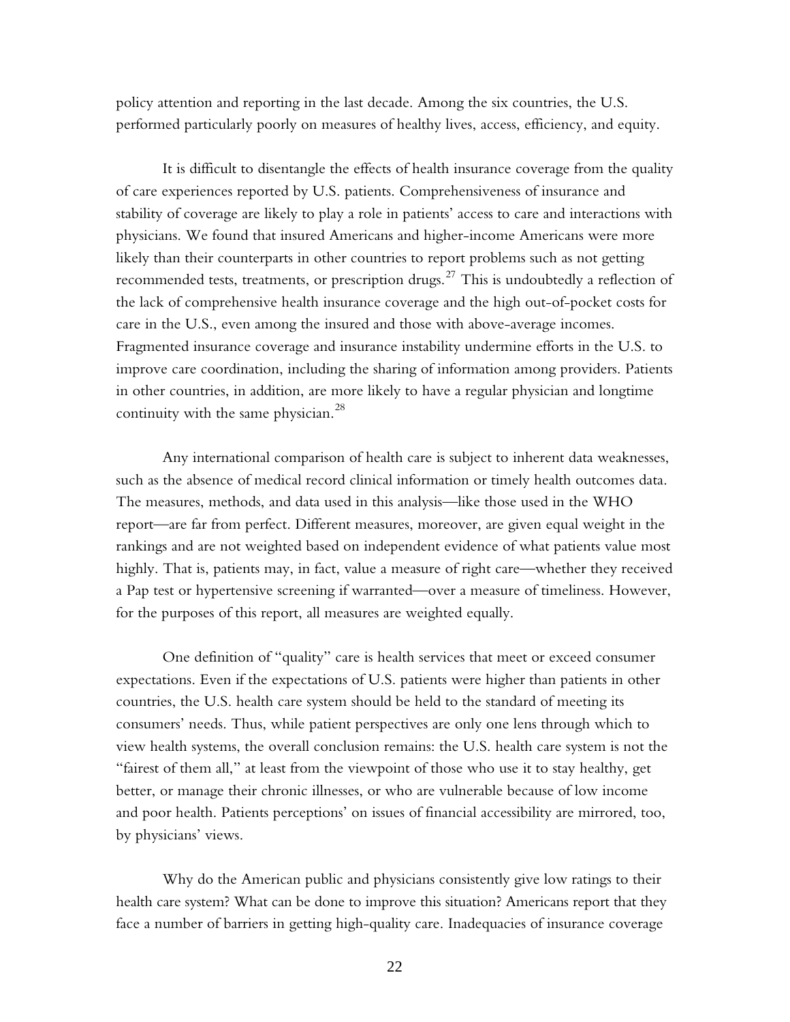policy attention and reporting in the last decade. Among the six countries, the U.S. performed particularly poorly on measures of healthy lives, access, efficiency, and equity.

It is difficult to disentangle the effects of health insurance coverage from the quality of care experiences reported by U.S. patients. Comprehensiveness of insurance and stability of coverage are likely to play a role in patients' access to care and interactions with physicians. We found that insured Americans and higher-income Americans were more likely than their counterparts in other countries to report problems such as not getting recommended tests, treatments, or prescription drugs.<sup>27</sup> This is undoubtedly a reflection of the lack of comprehensive health insurance coverage and the high out-of-pocket costs for care in the U.S., even among the insured and those with above-average incomes. Fragmented insurance coverage and insurance instability undermine efforts in the U.S. to improve care coordination, including the sharing of information among providers. Patients in other countries, in addition, are more likely to have a regular physician and longtime continuity with the same physician.<sup>28</sup>

Any international comparison of health care is subject to inherent data weaknesses, such as the absence of medical record clinical information or timely health outcomes data. The measures, methods, and data used in this analysis—like those used in the WHO report—are far from perfect. Different measures, moreover, are given equal weight in the rankings and are not weighted based on independent evidence of what patients value most highly. That is, patients may, in fact, value a measure of right care—whether they received a Pap test or hypertensive screening if warranted—over a measure of timeliness. However, for the purposes of this report, all measures are weighted equally.

One definition of "quality" care is health services that meet or exceed consumer expectations. Even if the expectations of U.S. patients were higher than patients in other countries, the U.S. health care system should be held to the standard of meeting its consumers' needs. Thus, while patient perspectives are only one lens through which to view health systems, the overall conclusion remains: the U.S. health care system is not the "fairest of them all," at least from the viewpoint of those who use it to stay healthy, get better, or manage their chronic illnesses, or who are vulnerable because of low income and poor health. Patients perceptions' on issues of financial accessibility are mirrored, too, by physicians' views.

Why do the American public and physicians consistently give low ratings to their health care system? What can be done to improve this situation? Americans report that they face a number of barriers in getting high-quality care. Inadequacies of insurance coverage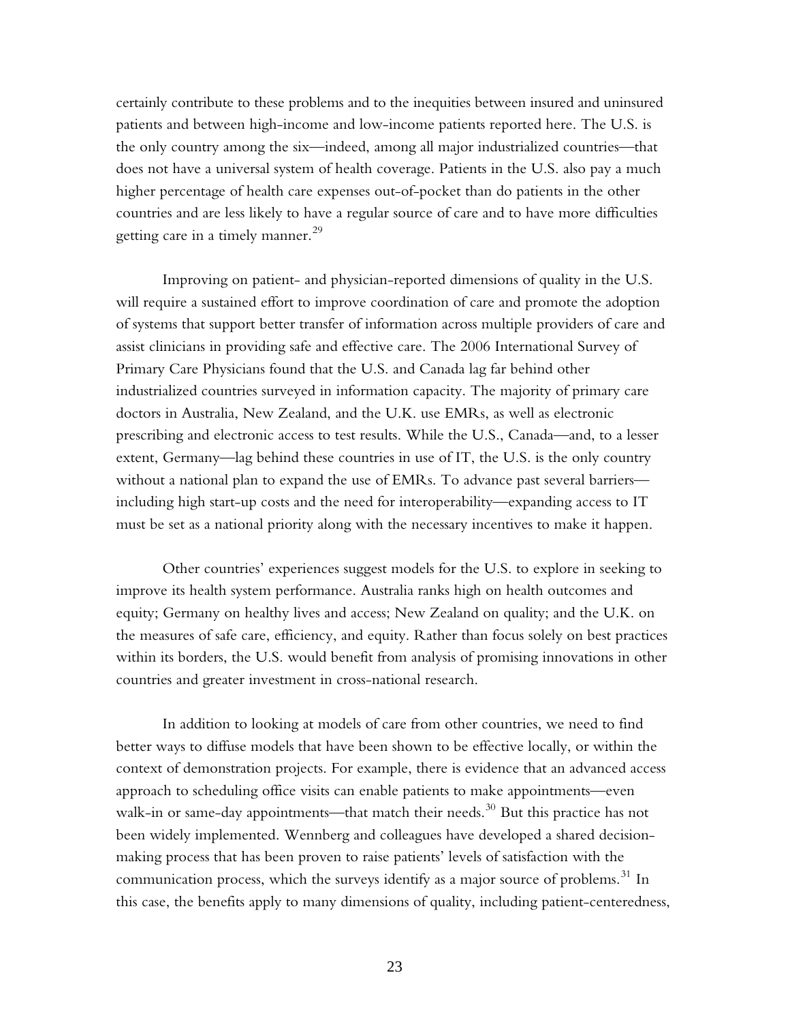certainly contribute to these problems and to the inequities between insured and uninsured patients and between high-income and low-income patients reported here. The U.S. is the only country among the six—indeed, among all major industrialized countries—that does not have a universal system of health coverage. Patients in the U.S. also pay a much higher percentage of health care expenses out-of-pocket than do patients in the other countries and are less likely to have a regular source of care and to have more difficulties getting care in a timely manner.<sup>29</sup>

Improving on patient- and physician-reported dimensions of quality in the U.S. will require a sustained effort to improve coordination of care and promote the adoption of systems that support better transfer of information across multiple providers of care and assist clinicians in providing safe and effective care. The 2006 International Survey of Primary Care Physicians found that the U.S. and Canada lag far behind other industrialized countries surveyed in information capacity. The majority of primary care doctors in Australia, New Zealand, and the U.K. use EMRs, as well as electronic prescribing and electronic access to test results. While the U.S., Canada—and, to a lesser extent, Germany—lag behind these countries in use of IT, the U.S. is the only country without a national plan to expand the use of EMRs. To advance past several barriers including high start-up costs and the need for interoperability—expanding access to IT must be set as a national priority along with the necessary incentives to make it happen.

Other countries' experiences suggest models for the U.S. to explore in seeking to improve its health system performance. Australia ranks high on health outcomes and equity; Germany on healthy lives and access; New Zealand on quality; and the U.K. on the measures of safe care, efficiency, and equity. Rather than focus solely on best practices within its borders, the U.S. would benefit from analysis of promising innovations in other countries and greater investment in cross-national research.

In addition to looking at models of care from other countries, we need to find better ways to diffuse models that have been shown to be effective locally, or within the context of demonstration projects. For example, there is evidence that an advanced access approach to scheduling office visits can enable patients to make appointments—even walk-in or same-day appointments—that match their needs.<sup>30</sup> But this practice has not been widely implemented. Wennberg and colleagues have developed a shared decisionmaking process that has been proven to raise patients' levels of satisfaction with the communication process, which the surveys identify as a major source of problems.<sup>31</sup> In this case, the benefits apply to many dimensions of quality, including patient-centeredness,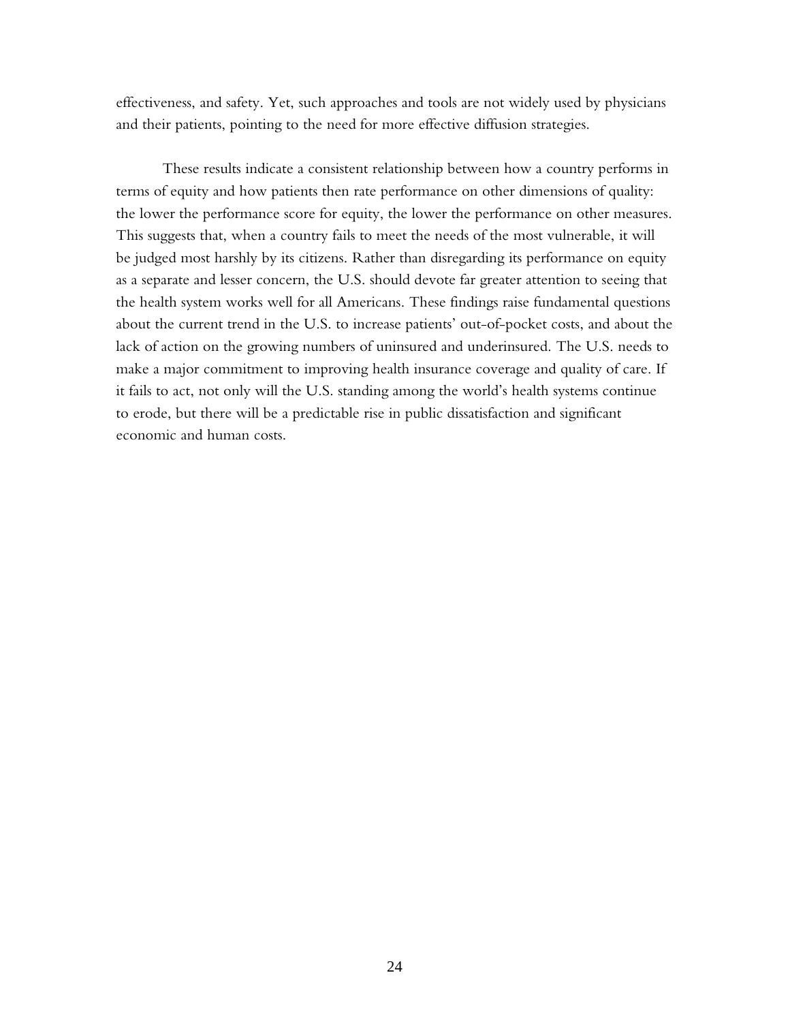effectiveness, and safety. Yet, such approaches and tools are not widely used by physicians and their patients, pointing to the need for more effective diffusion strategies.

These results indicate a consistent relationship between how a country performs in terms of equity and how patients then rate performance on other dimensions of quality: the lower the performance score for equity, the lower the performance on other measures. This suggests that, when a country fails to meet the needs of the most vulnerable, it will be judged most harshly by its citizens. Rather than disregarding its performance on equity as a separate and lesser concern, the U.S. should devote far greater attention to seeing that the health system works well for all Americans. These findings raise fundamental questions about the current trend in the U.S. to increase patients' out-of-pocket costs, and about the lack of action on the growing numbers of uninsured and underinsured. The U.S. needs to make a major commitment to improving health insurance coverage and quality of care. If it fails to act, not only will the U.S. standing among the world's health systems continue to erode, but there will be a predictable rise in public dissatisfaction and significant economic and human costs.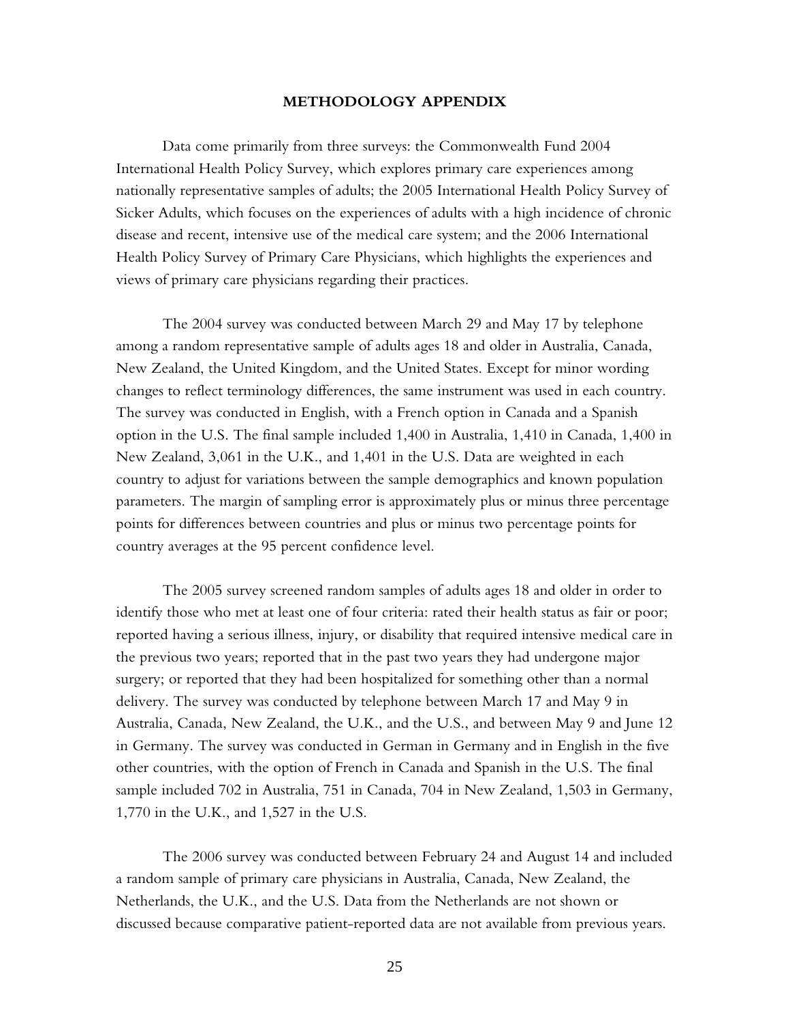#### **METHODOLOGY APPENDIX**

Data come primarily from three surveys: the Commonwealth Fund 2004 International Health Policy Survey, which explores primary care experiences among nationally representative samples of adults; the 2005 International Health Policy Survey of Sicker Adults, which focuses on the experiences of adults with a high incidence of chronic disease and recent, intensive use of the medical care system; and the 2006 International Health Policy Survey of Primary Care Physicians, which highlights the experiences and views of primary care physicians regarding their practices.

The 2004 survey was conducted between March 29 and May 17 by telephone among a random representative sample of adults ages 18 and older in Australia, Canada, New Zealand, the United Kingdom, and the United States. Except for minor wording changes to reflect terminology differences, the same instrument was used in each country. The survey was conducted in English, with a French option in Canada and a Spanish option in the U.S. The final sample included 1,400 in Australia, 1,410 in Canada, 1,400 in New Zealand, 3,061 in the U.K., and 1,401 in the U.S. Data are weighted in each country to adjust for variations between the sample demographics and known population parameters. The margin of sampling error is approximately plus or minus three percentage points for differences between countries and plus or minus two percentage points for country averages at the 95 percent confidence level.

The 2005 survey screened random samples of adults ages 18 and older in order to identify those who met at least one of four criteria: rated their health status as fair or poor; reported having a serious illness, injury, or disability that required intensive medical care in the previous two years; reported that in the past two years they had undergone major surgery; or reported that they had been hospitalized for something other than a normal delivery. The survey was conducted by telephone between March 17 and May 9 in Australia, Canada, New Zealand, the U.K., and the U.S., and between May 9 and June 12 in Germany. The survey was conducted in German in Germany and in English in the five other countries, with the option of French in Canada and Spanish in the U.S. The final sample included 702 in Australia, 751 in Canada, 704 in New Zealand, 1,503 in Germany, 1,770 in the U.K., and 1,527 in the U.S.

The 2006 survey was conducted between February 24 and August 14 and included a random sample of primary care physicians in Australia, Canada, New Zealand, the Netherlands, the U.K., and the U.S. Data from the Netherlands are not shown or discussed because comparative patient-reported data are not available from previous years.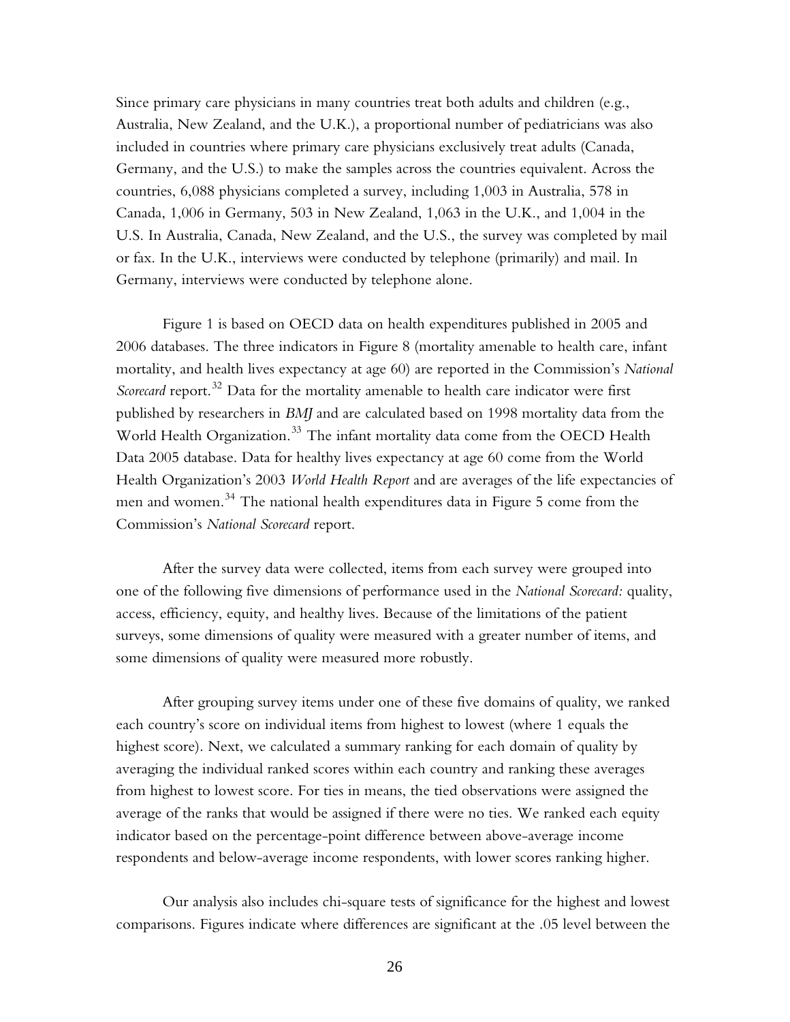Since primary care physicians in many countries treat both adults and children (e.g., Australia, New Zealand, and the U.K.), a proportional number of pediatricians was also included in countries where primary care physicians exclusively treat adults (Canada, Germany, and the U.S.) to make the samples across the countries equivalent. Across the countries, 6,088 physicians completed a survey, including 1,003 in Australia, 578 in Canada, 1,006 in Germany, 503 in New Zealand, 1,063 in the U.K., and 1,004 in the U.S. In Australia, Canada, New Zealand, and the U.S., the survey was completed by mail or fax. In the U.K., interviews were conducted by telephone (primarily) and mail. In Germany, interviews were conducted by telephone alone.

Figure 1 is based on OECD data on health expenditures published in 2005 and 2006 databases. The three indicators in Figure 8 (mortality amenable to health care, infant mortality, and health lives expectancy at age 60) are reported in the Commission's *National Scorecard* report.<sup>32</sup> Data for the mortality amenable to health care indicator were first published by researchers in *BMJ* and are calculated based on 1998 mortality data from the World Health Organization.<sup>33</sup> The infant mortality data come from the OECD Health Data 2005 database. Data for healthy lives expectancy at age 60 come from the World Health Organization's 2003 *World Health Report* and are averages of the life expectancies of men and women.<sup>34</sup> The national health expenditures data in Figure 5 come from the Commission's *National Scorecard* report.

After the survey data were collected, items from each survey were grouped into one of the following five dimensions of performance used in the *National Scorecard:* quality, access, efficiency, equity, and healthy lives. Because of the limitations of the patient surveys, some dimensions of quality were measured with a greater number of items, and some dimensions of quality were measured more robustly.

After grouping survey items under one of these five domains of quality, we ranked each country's score on individual items from highest to lowest (where 1 equals the highest score). Next, we calculated a summary ranking for each domain of quality by averaging the individual ranked scores within each country and ranking these averages from highest to lowest score. For ties in means, the tied observations were assigned the average of the ranks that would be assigned if there were no ties. We ranked each equity indicator based on the percentage-point difference between above-average income respondents and below-average income respondents, with lower scores ranking higher.

Our analysis also includes chi-square tests of significance for the highest and lowest comparisons. Figures indicate where differences are significant at the .05 level between the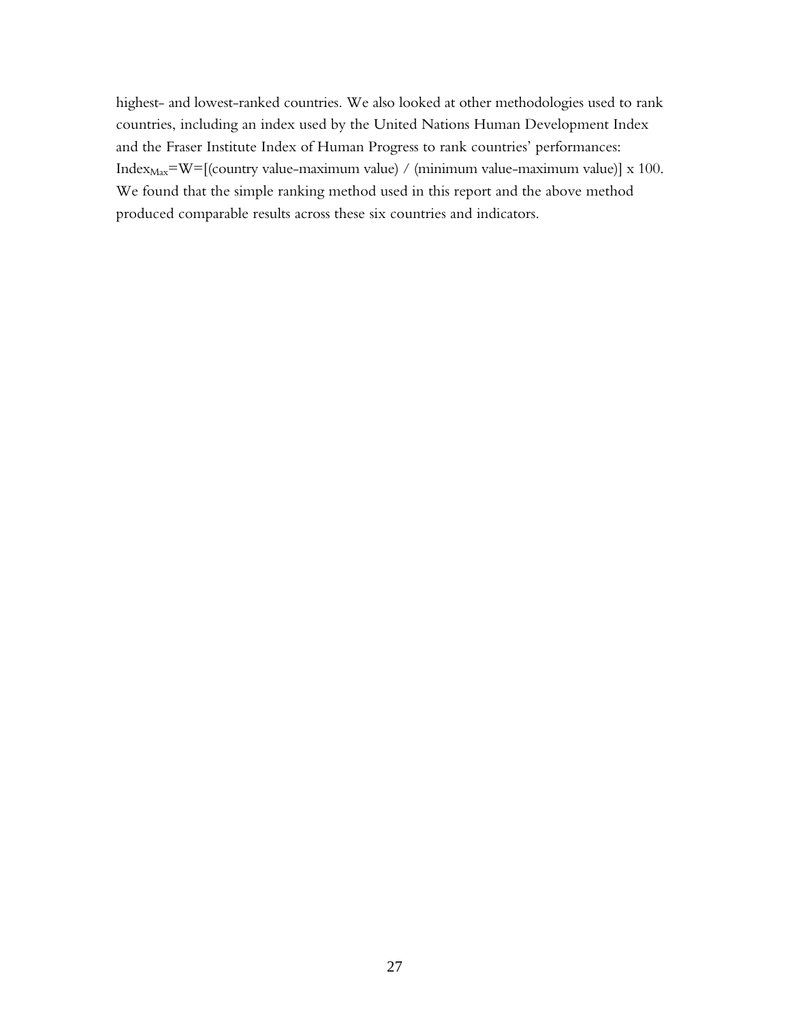highest- and lowest-ranked countries. We also looked at other methodologies used to rank countries, including an index used by the United Nations Human Development Index and the Fraser Institute Index of Human Progress to rank countries' performances: Index $_{\text{Max}}$ =W=[(country value-maximum value) / (minimum value-maximum value)] x 100. We found that the simple ranking method used in this report and the above method produced comparable results across these six countries and indicators.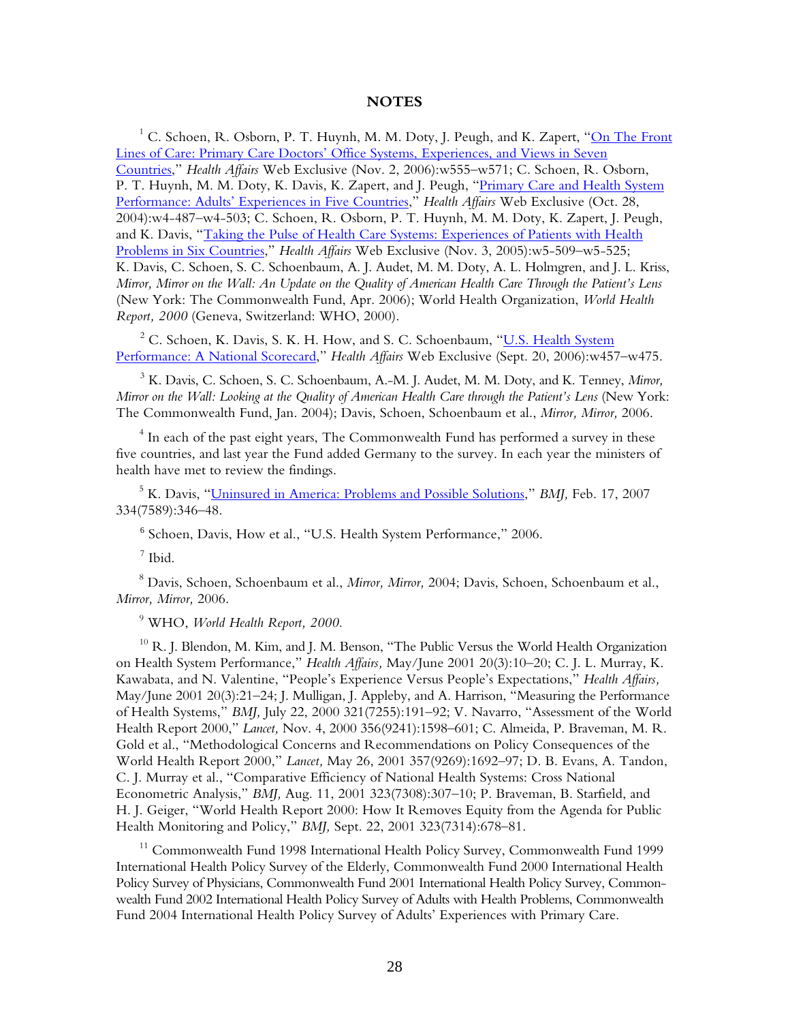#### **NOTES**

 $^1$  C. Schoen, R. Osborn, P. T. Huynh, M. M. Doty, J. Peugh, and K. Zapert, "<u>On The Front</u> [Lines of Care: Primary Care Doctors' Office Systems, Experiences, and Views in Seven](http://www.commonwealthfund.org/publications/publications_show.htm?doc_id=419208)  [Countries](http://www.commonwealthfund.org/publications/publications_show.htm?doc_id=419208)," *Health Affairs* Web Exclusive (Nov. 2, 2006):w555–w571; C. Schoen, R. Osborn, P. T. Huynh, M. M. Doty, K. Davis, K. Zapert, and J. Peugh, "Primary Care and Health System [Performance: Adults' Experiences in Five Countries,](http://www.commonwealthfund.org/publications/publications_show.htm?doc_id=245178)" *Health Affairs* Web Exclusive (Oct. 28, 2004):w4-487–w4-503; C. Schoen, R. Osborn, P. T. Huynh, M. M. Doty, K. Zapert, J. Peugh, and K. Davis, "Taking the Pulse of Health Care Systems: Experiences of Patients with Health [Problems in Six Countries](http://www.commonwealthfund.org/publications/publications_show.htm?doc_id=313012)," *Health Affairs* Web Exclusive (Nov. 3, 2005):w5-509–w5-525; K. Davis, C. Schoen, S. C. Schoenbaum, A. J. Audet, M. M. Doty, A. L. Holmgren, and J. L. Kriss, *Mirror, Mirror on the Wall: An Update on the Quality of American Health Care Through the Patient's Lens* (New York: The Commonwealth Fund, Apr. 2006); World Health Organization, *World Health Report, 2000* (Geneva, Switzerland: WHO, 2000).

<sup>2</sup> C. Schoen, K. Davis, S. K. H. How, and S. C. Schoenbaum, "<u>U.S. Health System</u> [Performance: A National Scorecard](http://www.commonwealthfund.org/publications/publications_show.htm?doc_id=403925)," *Health Affairs* Web Exclusive (Sept. 20, 2006):w457–w475.

3 K. Davis, C. Schoen, S. C. Schoenbaum, A.-M. J. Audet, M. M. Doty, and K. Tenney, *Mirror, Mirror on the Wall: Looking at the Quality of American Health Care through the Patient's Lens* (New York: The Commonwealth Fund, Jan. 2004); Davis, Schoen, Schoenbaum et al., *Mirror, Mirror,* 2006.

 $^4$  In each of the past eight years, The Commonwealth Fund has performed a survey in these five countries, and last year the Fund added Germany to the survey. In each year the ministers of health have met to review the findings.

5 K. Davis, ["Uninsured in America: Problems and Possible Solutions,](http://www.commonwealthfund.org/publications/publications_show.htm?doc_id=464574)" *BMJ,* Feb. 17, 2007 334(7589):346–48.

6 Schoen, Davis, How et al., "U.S. Health System Performance," 2006.

 $^7$  Ibid.

8 Davis, Schoen, Schoenbaum et al., *Mirror, Mirror,* 2004; Davis, Schoen, Schoenbaum et al., *Mirror, Mirror,* 2006.

9 WHO, *World Health Report, 2000.*

 $^{10}$  R. J. Blendon, M. Kim, and J. M. Benson, "The Public Versus the World Health Organization on Health System Performance," *Health Affairs,* May/June 2001 20(3):10–20; C. J. L. Murray, K. Kawabata, and N. Valentine, "People's Experience Versus People's Expectations," *Health Affairs,* May/June 2001 20(3):21–24; J. Mulligan, J. Appleby, and A. Harrison, "Measuring the Performance of Health Systems," *BMJ,* July 22, 2000 321(7255):191–92; V. Navarro, "Assessment of the World Health Report 2000," *Lancet,* Nov. 4, 2000 356(9241):1598–601; C. Almeida, P. Braveman, M. R. Gold et al., "Methodological Concerns and Recommendations on Policy Consequences of the World Health Report 2000," *Lancet,* May 26, 2001 357(9269):1692–97; D. B. Evans, A. Tandon, C. J. Murray et al., "Comparative Efficiency of National Health Systems: Cross National Econometric Analysis," *BMJ,* Aug. 11, 2001 323(7308):307–10; P. Braveman, B. Starfield, and H. J. Geiger, "World Health Report 2000: How It Removes Equity from the Agenda for Public Health Monitoring and Policy," *BMJ,* Sept. 22, 2001 323(7314):678–81.

<sup>11</sup> Commonwealth Fund 1998 International Health Policy Survey, Commonwealth Fund 1999 International Health Policy Survey of the Elderly, Commonwealth Fund 2000 International Health Policy Survey of Physicians, Commonwealth Fund 2001 International Health Policy Survey, Commonwealth Fund 2002 International Health Policy Survey of Adults with Health Problems, Commonwealth Fund 2004 International Health Policy Survey of Adults' Experiences with Primary Care.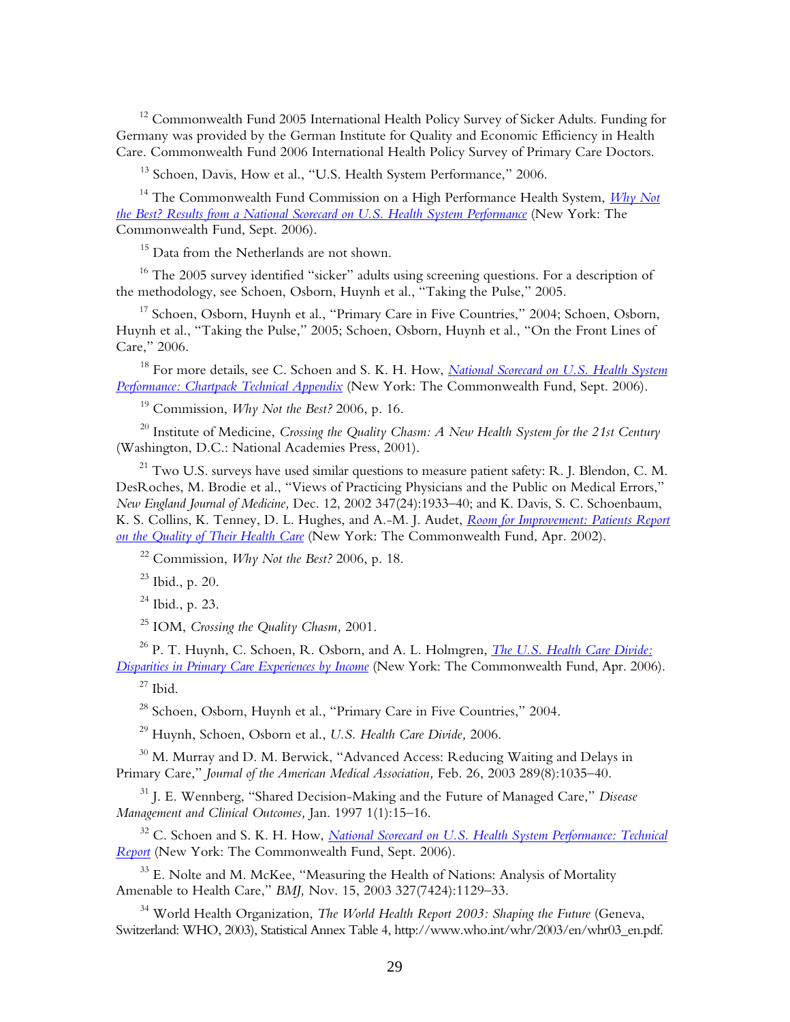<sup>12</sup> Commonwealth Fund 2005 International Health Policy Survey of Sicker Adults. Funding for Germany was provided by the German Institute for Quality and Economic Efficiency in Health Care. Commonwealth Fund 2006 International Health Policy Survey of Primary Care Doctors.

<sup>13</sup> Schoen, Davis, How et al., "U.S. Health System Performance," 2006.

14 The Commonwealth Fund Commission on a High Performance Health System, *[Why Not](http://www.commonwealthfund.org/publications/publications_show.htm?doc_id=401577)  [the Best? Results from a National Scorecard on U.S. Health System Performance](http://www.commonwealthfund.org/publications/publications_show.htm?doc_id=401577)* (New York: The Commonwealth Fund, Sept. 2006).

<sup>15</sup> Data from the Netherlands are not shown.

<sup>16</sup> The 2005 survey identified "sicker" adults using screening questions. For a description of the methodology, see Schoen, Osborn, Huynh et al., "Taking the Pulse," 2005.

<sup>17</sup> Schoen, Osborn, Huynh et al., "Primary Care in Five Countries," 2004; Schoen, Osborn, Huynh et al., "Taking the Pulse," 2005; Schoen, Osborn, Huynh et al., "On the Front Lines of Care," 2006.

18 For more details, see C. Schoen and S. K. H. How, *[National Scorecard on U.S. Health System](http://www.commonwealthfund.org/usr_doc/Schoen_natscorecard_chartpacktecapp.pdf)  [Performance: Chartpack Technical Appendix](http://www.commonwealthfund.org/usr_doc/Schoen_natscorecard_chartpacktecapp.pdf)* (New York: The Commonwealth Fund, Sept. 2006).

19 Commission, *Why Not the Best?* 2006, p. 16.

20 Institute of Medicine, *Crossing the Quality Chasm: A New Health System for the 21st Century* (Washington, D.C.: National Academies Press, 2001).

 $21$  Two U.S. surveys have used similar questions to measure patient safety: R. J. Blendon, C. M. DesRoches, M. Brodie et al., "Views of Practicing Physicians and the Public on Medical Errors," *New England Journal of Medicine,* Dec. 12, 2002 347(24):1933–40; and K. Davis, S. C. Schoenbaum, K. S. Collins, K. Tenney, D. L. Hughes, and A.-M. J. Audet, *[Room for Improvement: Patients Report](http://www.commonwealthfund.org/publications/publications_show.htm?doc_id=221270)  [on the Quality of Their Health Care](http://www.commonwealthfund.org/publications/publications_show.htm?doc_id=221270)* (New York: The Commonwealth Fund, Apr. 2002).

22 Commission, *Why Not the Best?* 2006, p. 18.

23 Ibid., p. 20.

 $24$  Ibid., p. 23.

25 IOM, *Crossing the Quality Chasm,* 2001.

26 P. T. Huynh, C. Schoen, R. Osborn, and A. L. Holmgren, *[The U.S. Health Care Divide:](http://www.commonwealthfund.org/publications/publications_show.htm?doc_id=364437)  [Disparities in Primary Care Experiences by Income](http://www.commonwealthfund.org/publications/publications_show.htm?doc_id=364437)* (New York: The Commonwealth Fund, Apr. 2006).

 $27$  Ibid.

<sup>28</sup> Schoen, Osborn, Huynh et al., "Primary Care in Five Countries," 2004.

29 Huynh, Schoen, Osborn et al., *U.S. Health Care Divide,* 2006.

 $30$  M. Murray and D. M. Berwick, "Advanced Access: Reducing Waiting and Delays in Primary Care," *Journal of the American Medical Association,* Feb. 26, 2003 289(8):1035–40.

31 J. E. Wennberg, "Shared Decision-Making and the Future of Managed Care," *Disease Management and Clinical Outcomes,* Jan. 1997 1(1):15–16.

<sup>32</sup> C. Schoen and S. K. H. How, *National Scorecard on U.S. Health System Performance: Technical [Report](http://www.commonwealthfund.org/usr_doc/Schoen_natscorecard_techrpt_954.pdf)* (New York: The Commonwealth Fund, Sept. 2006).

<sup>33</sup> E. Nolte and M. McKee, "Measuring the Health of Nations: Analysis of Mortality Amenable to Health Care," *BMJ,* Nov. 15, 2003 327(7424):1129–33.

<sup>34</sup> World Health Organization, *The World Health Report 2003: Shaping the Future* (Geneva, Switzerland: WHO, 2003), Statistical Annex Table 4, http://www.who.int/whr/2003/en/whr03\_en.pdf.